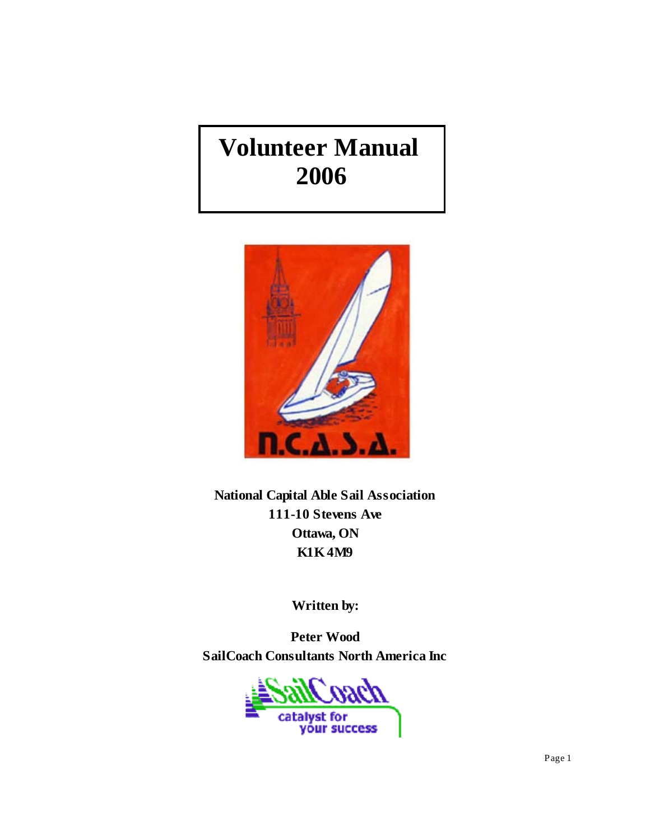# **Volunteer Manual 2006**



**National Capital Able Sail Association 111-10 Stevens Ave Ottawa, ON K1K 4M9**

**Written by:**

**Peter Wood SailCoach Consultants North America Inc**

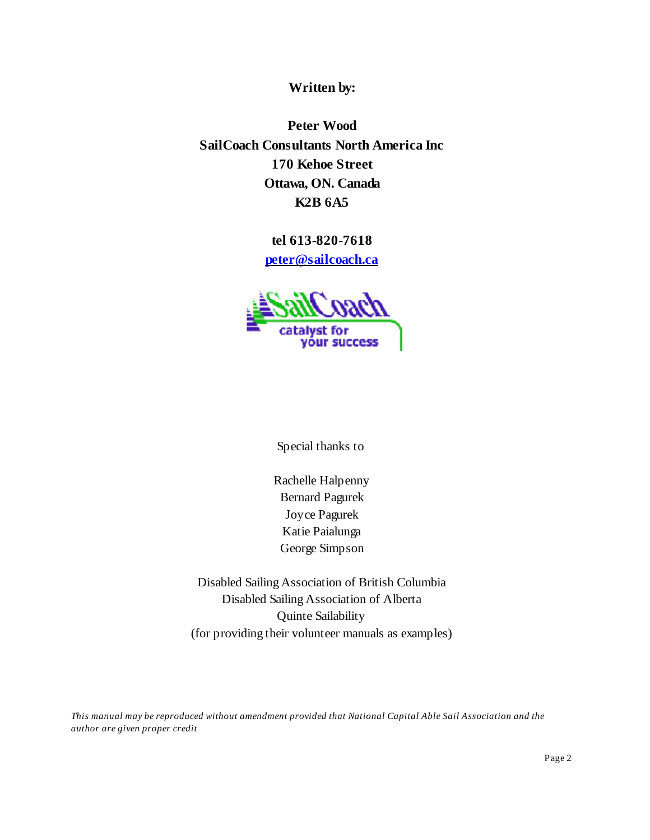**Written by:**

**Peter Wood SailCoach Consultants North America Inc 170 Kehoe Street Ottawa, ON. Canada K2B 6A5**

**tel 613-820-7618**

**peter@sailcoach.ca**



Special thanks to

Rachelle Halpenny Bernard Pagurek Joyce Pagurek Katie Paialunga George Simpson

Disabled Sailing Association of British Columbia Disabled Sailing Association of Alberta Quinte Sailability (for providing their volunteer manuals as examples)

*This manual may be reproduced without amendment provided that National Capital Able Sail Association and the author are given proper credit*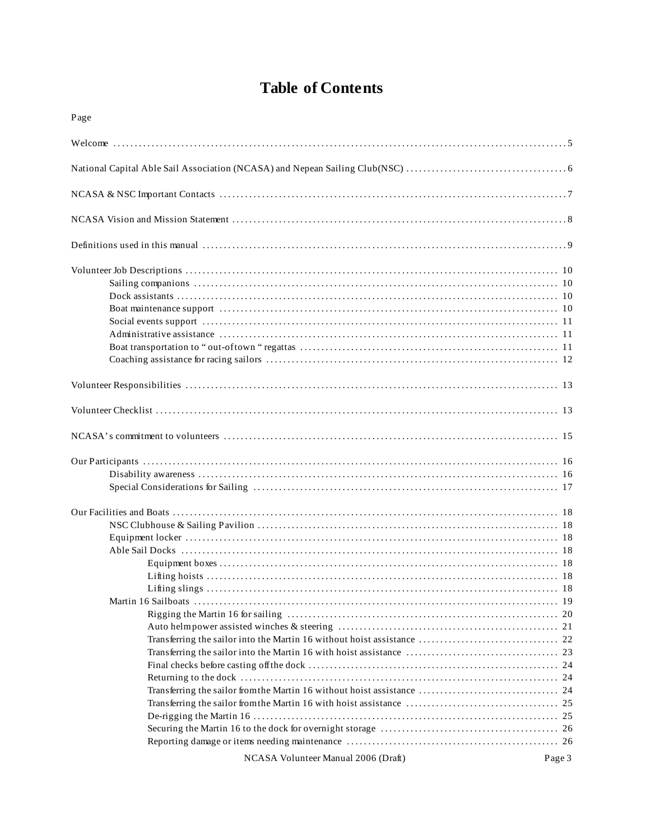# **Table of Contents**

| Page                                |        |
|-------------------------------------|--------|
|                                     |        |
|                                     |        |
|                                     |        |
|                                     |        |
|                                     |        |
|                                     |        |
|                                     |        |
|                                     |        |
|                                     |        |
|                                     |        |
|                                     |        |
|                                     |        |
| NCASA Volunteer Manual 2006 (Draft) | Page 3 |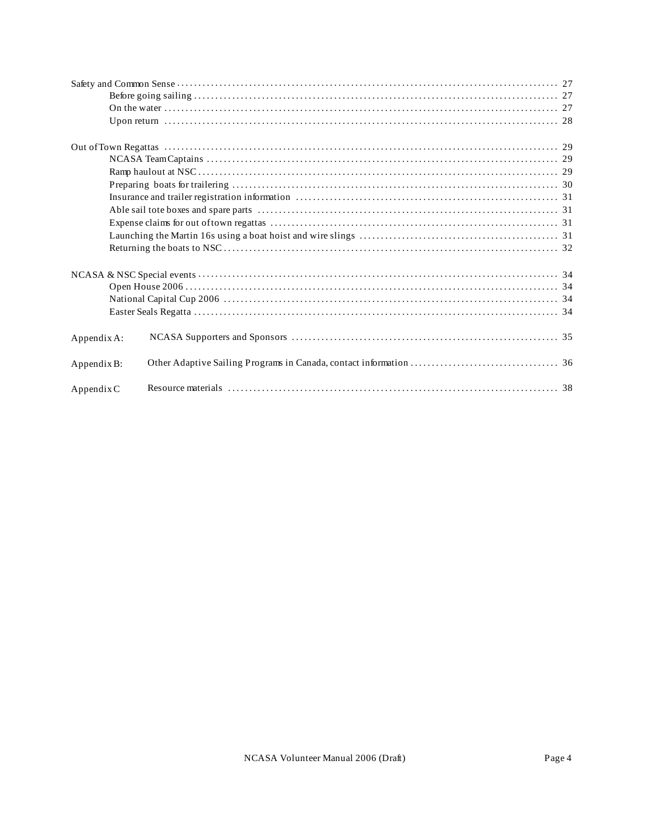| Appendix A: |  |
|-------------|--|
| Appendix B: |  |
| Appendix C  |  |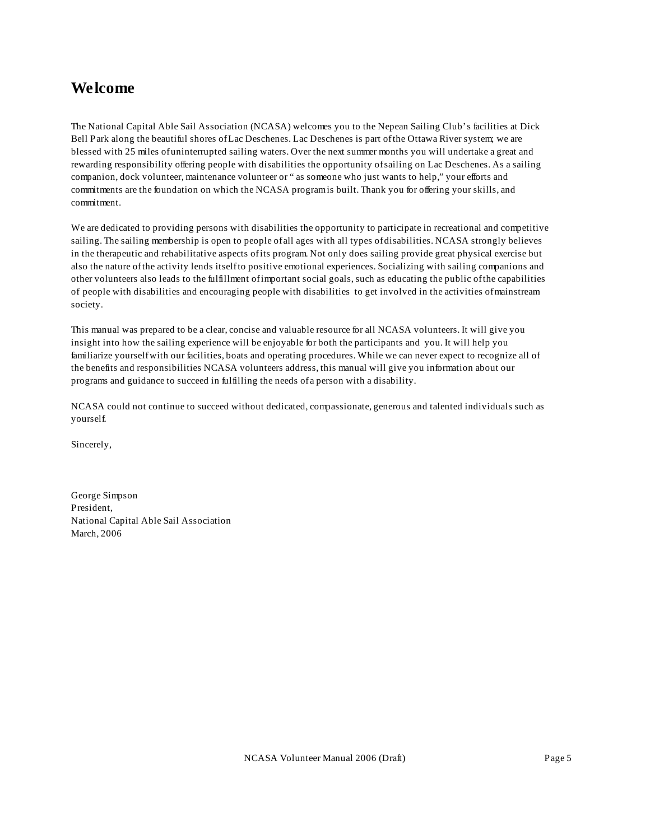### **Welcome**

The National Capital Able Sail Association (NCASA) welcomes you to the Nepean Sailing Club's facilities at Dick Bell Park along the beautiful shores of Lac Deschenes. Lac Deschenes is part of the Ottawa River system; we are blessed with 25 miles of uninterrupted sailing waters. Over the next summer months you will undertake a great and rewarding responsibility offering people with disabilities the opportunity of sailing on Lac Deschenes. As a sailing companion, dock volunteer, maintenance volunteer or " as someone who just wants to help," your efforts and commitments are the foundation on which the NCASA program is built. Thank you for offering your skills, and commitment.

We are dedicated to providing persons with disabilities the opportunity to participate in recreational and competitive sailing. The sailing membership is open to people of all ages with all types of disabilities. NCASA strongly believes in the therapeutic and rehabilitative aspects of its program. Not only does sailing provide great physical exercise but also the nature of the activity lends itself to positive emotional experiences. Socializing with sailing companions and other volunteers also leads to the fulfillment of important social goals, such as educating the public of the capabilities of people with disabilities and encouraging people with disabilities to get involved in the activities of mainstream society.

This manual was prepared to be a clear, concise and valuable resource for all NCASA volunteers. It will give you insight into how the sailing experience will be enjoyable for both the participants and you. It will help you familiarize yourself with our facilities, boats and operating procedures. While we can never expect to recognize all of the benefits and responsibilities NCASA volunteers address, this manual will give you information about our programs and guidance to succeed in fulfilling the needs of a person with a disability.

NCASA could not continue to succeed without dedicated, compassionate, generous and talented individuals such as yourself.

Sincerely,

George Simpson President, National Capital Able Sail Association March, 2006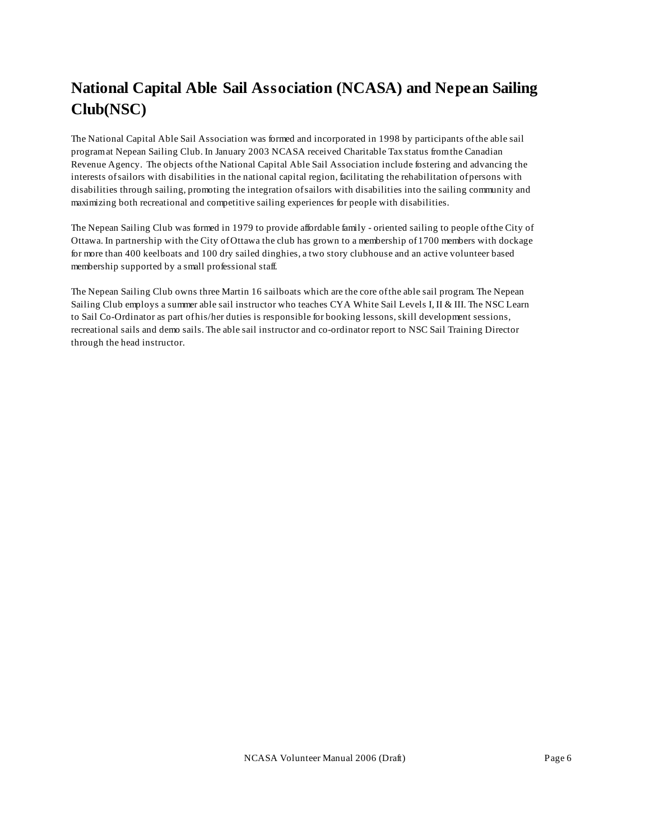# **National Capital Able Sail Association (NCASA) and Nepean Sailing Club(NSC)**

The National Capital Able Sail Association was formed and incorporated in 1998 by participants of the able sail program at Nepean Sailing Club. In January 2003 NCASA received Charitable Tax status from the Canadian Revenue Agency. The objects of the National Capital Able Sail Association include fostering and advancing the interests of sailors with disabilities in the national capital region, facilitating the rehabilitation of persons with disabilities through sailing, promoting the integration of sailors with disabilities into the sailing community and maximizing both recreational and competitive sailing experiences for people with disabilities.

The Nepean Sailing Club was formed in 1979 to provide affordable family - oriented sailing to people of the City of Ottawa. In partnership with the City of Ottawa the club has grown to a membership of 1700 members with dockage for more than 400 keelboats and 100 dry sailed dinghies, a two story clubhouse and an active volunteer based membership supported by a small professional staff.

The Nepean Sailing Club owns three Martin 16 sailboats which are the core of the able sail program. The Nepean Sailing Club employs a summer able sail instructor who teaches CYA White Sail Levels I, II & III. The NSC Learn to Sail Co-Ordinator as part of his/her duties is responsible for booking lessons, skill development sessions, recreational sails and demo sails. The able sail instructor and co-ordinator report to NSC Sail Training Director through the head instructor.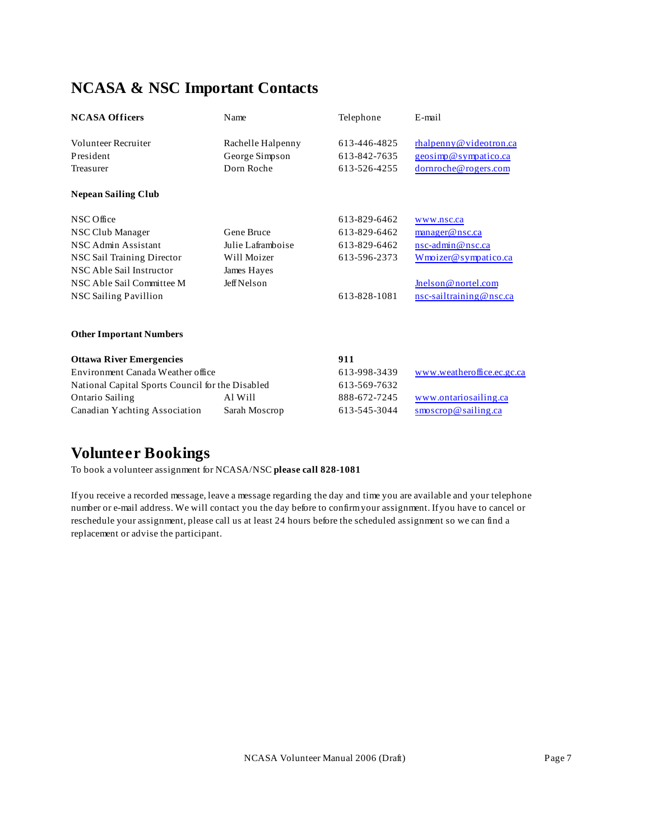# **NCASA & NSC Important Contacts**

| <b>NCASA Officers</b>                            | Name                         | Telephone                    | E-mail                                                           |
|--------------------------------------------------|------------------------------|------------------------------|------------------------------------------------------------------|
| Volunteer Recruiter                              | Rachelle Halpenny            | 613-446-4825                 | rhalpenny@videotron.ca                                           |
| President<br>Treasurer                           | George Simpson<br>Dorn Roche | 613-842-7635<br>613-526-4255 | geosimp@sympatico.ca<br>dornroche@rogers.com                     |
| <b>Nepean Sailing Club</b>                       |                              |                              |                                                                  |
| NSC Office                                       |                              | 613-829-6462                 | www.nsc.ca                                                       |
| NSC Club Manager                                 | Gene Bruce                   | 613-829-6462                 | manager@nsc.ca                                                   |
| NSC Admin Assistant                              | Julie Laframboise            | 613-829-6462                 | nsc-admin@nsc.ca                                                 |
| NSC Sail Training Director                       | Will Moizer                  | 613-596-2373                 | Wmoizer@sympatico.ca                                             |
| NSC Able Sail Instructor                         | James Hayes                  |                              |                                                                  |
| NSC Able Sail Committee M                        | <b>Jeff Nelson</b>           |                              | Jnelson@nortel.com                                               |
| <b>NSC Sailing Pavillion</b>                     |                              | 613-828-1081                 | nsc-sailtraining@nsc.ca                                          |
| <b>Other Important Numbers</b>                   |                              |                              |                                                                  |
| <b>Ottawa River Emergencies</b>                  |                              | 911                          |                                                                  |
| Environment Canada Weather office                |                              | 613-998-3439                 | www.weatheroffice.ec.gc.ca                                       |
| National Capital Sports Council for the Disabled |                              | 613-569-7632                 |                                                                  |
| <b>Ontario Sailing</b>                           | Al Will                      | 888-672-7245                 | www.ontariosailing.ca                                            |
| Canadian Yachting Association                    | Sarah Moscrop                | 613-545-3044                 | $\operatorname{smoscrop}\nolimits @ \operatorname{sailing} .$ ca |
|                                                  |                              |                              |                                                                  |

### **Volunteer Bookings**

To book a volunteer assignment for NCASA/NSC **please call 828-1081**

If you receive a recorded message, leave a message regarding the day and time you are available and your telephone number or e-mail address. We will contact you the day before to confirm your assignment. If you have to cancel or reschedule your assignment, please call us at least 24 hours before the scheduled assignment so we can find a replacement or advise the participant.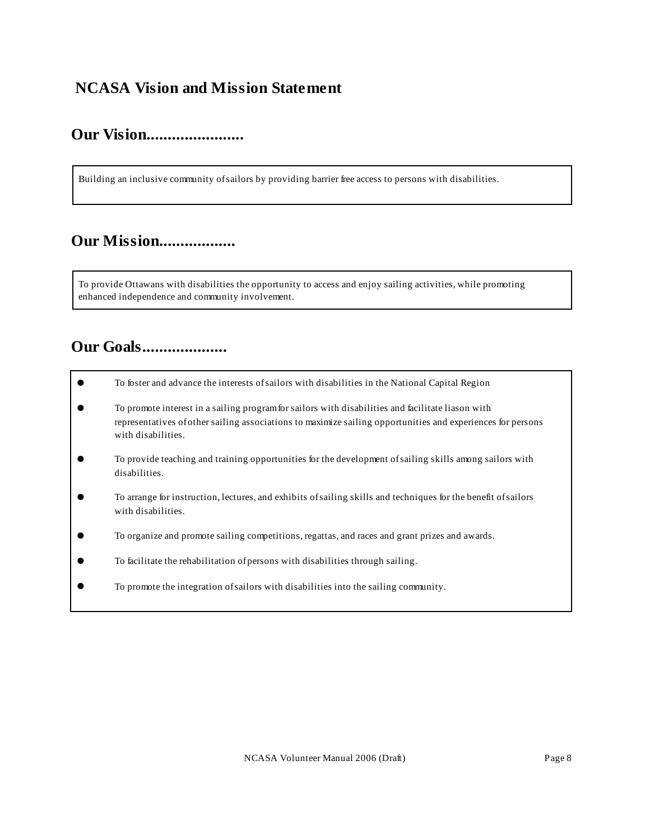### **NCASA Vision and Mission Statement**

### **Our Vision.......................**

Building an inclusive community of sailors by providing barrier free access to persons with disabilities.

### **Our Mission..................**

To provide Ottawans with disabilities the opportunity to access and enjoy sailing activities, while promoting enhanced independence and community involvement.

### **Our Goals....................**

- ! To foster and advance the interests of sailors with disabilities in the National Capital Region
- ! To promote interest in a sailing program for sailors with disabilities and facilitate liason with representatives of other sailing associations to maximize sailing opportunities and experiences for persons with disabilities.
- ! To provide teaching and training opportunities for the development of sailing skills among sailors with disabilities.
- ! To arrange for instruction, lectures, and exhibits of sailing skills and techniques for the benefit of sailors with disabilities.
- ! To organize and promote sailing competitions, regattas, and races and grant prizes and awards.
- ! To facilitate the rehabilitation of persons with disabilities through sailing.
- ! To promote the integration of sailors with disabilities into the sailing community.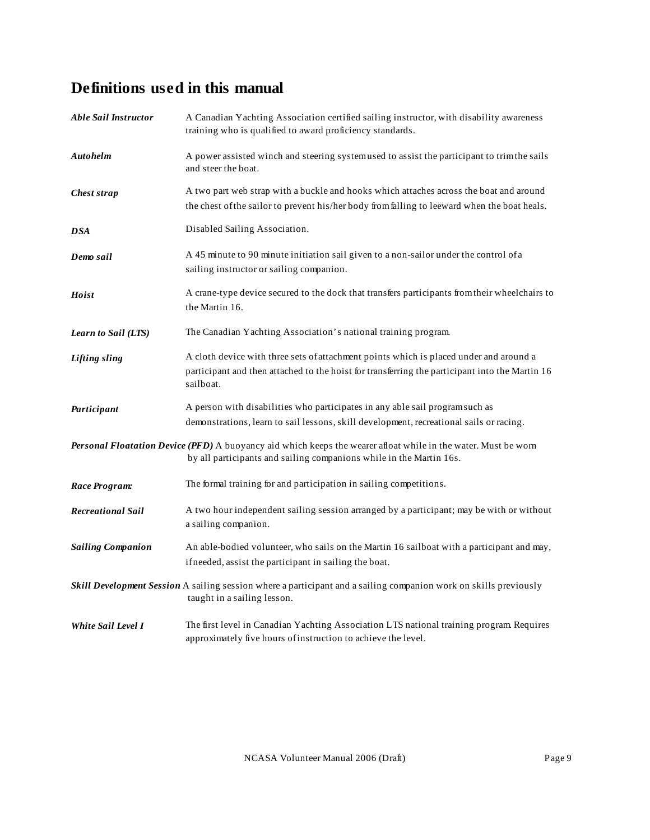# **Definitions used in this manual**

| <b>Able Sail Instructor</b> | A Canadian Yachting Association certified sailing instructor, with disability awareness<br>training who is qualified to award proficiency standards.                                                  |
|-----------------------------|-------------------------------------------------------------------------------------------------------------------------------------------------------------------------------------------------------|
| <b>Autohelm</b>             | A power assisted winch and steering systemused to assist the participant to trim the sails<br>and steer the boat.                                                                                     |
| Chest strap                 | A two part web strap with a buckle and hooks which attaches across the boat and around<br>the chest of the sailor to prevent his/her body from falling to leeward when the boat heals.                |
| <b>DSA</b>                  | Disabled Sailing Association.                                                                                                                                                                         |
| Demo sail                   | A 45 minute to 90 minute initiation sail given to a non-sailor under the control of a<br>sailing instructor or sailing companion.                                                                     |
| Hoist                       | A crane-type device secured to the dock that transfers participants from their wheelchairs to<br>the Martin 16.                                                                                       |
| Learn to Sail (LTS)         | The Canadian Yachting Association's national training program.                                                                                                                                        |
| <b>Lifting sling</b>        | A cloth device with three sets of attachment points which is placed under and around a<br>participant and then attached to the hoist for transferring the participant into the Martin 16<br>sailboat. |
| Participant                 | A person with disabilities who participates in any able sail programsuch as<br>demonstrations, learn to sail lessons, skill development, recreational sails or racing.                                |
|                             | Personal Floatation Device (PFD) A buoyancy aid which keeps the wearer afloat while in the water. Must be worn<br>by all participants and sailing companions while in the Martin 16s.                 |
| Race Program:               | The formal training for and participation in sailing competitions.                                                                                                                                    |
| <b>Recreational Sail</b>    | A two hour independent sailing session arranged by a participant; may be with or without<br>a sailing companion.                                                                                      |
| <b>Sailing Companion</b>    | An able-bodied volunteer, who sails on the Martin 16 sailboat with a participant and may,<br>if needed, assist the participant in sailing the boat.                                                   |
|                             | Skill Development Session A sailing session where a participant and a sailing companion work on skills previously<br>taught in a sailing lesson.                                                      |
| <b>White Sail Level I</b>   | The first level in Canadian Yachting Association LTS national training program Requires<br>approximately five hours of instruction to achieve the level.                                              |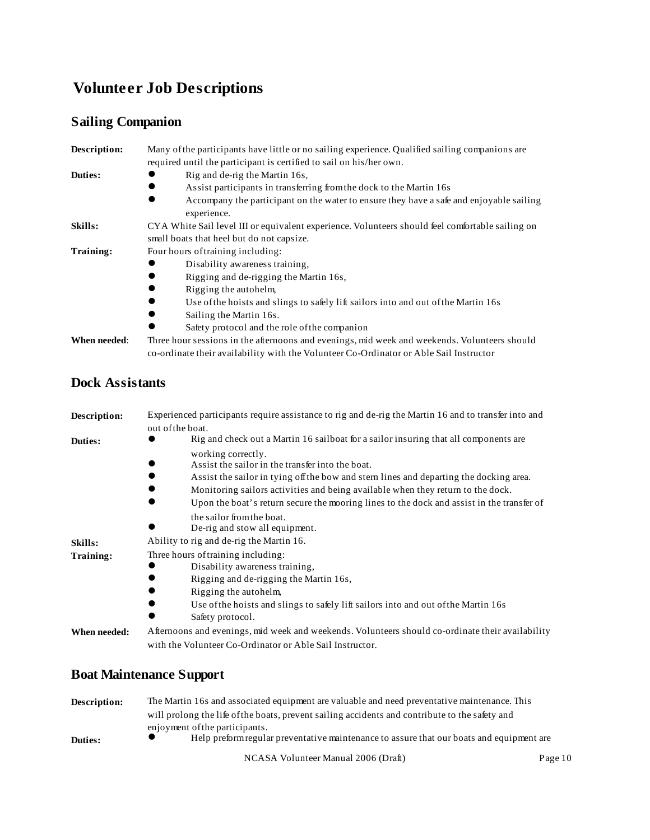# **Volunteer Job Descriptions**

### **Sailing Companion**

| Description: | Many of the participants have little or no sailing experience. Qualified sailing companions are        |
|--------------|--------------------------------------------------------------------------------------------------------|
|              | required until the participant is certified to sail on his/her own.                                    |
| Duties:      | Rig and de-rig the Martin 16s,                                                                         |
|              | Assist participants in transferring from the dock to the Martin 16s                                    |
|              | Accompany the participant on the water to ensure they have a safe and enjoyable sailing<br>experience. |
| Skills:      | CYA White Sail level III or equivalent experience. Volunteers should feel comfortable sailing on       |
|              | small boats that heel but do not capsize.                                                              |
| Training:    | Four hours of training including:                                                                      |
|              | Disability awareness training,                                                                         |
|              | Rigging and de-rigging the Martin 16s,                                                                 |
|              | Rigging the autohelm.                                                                                  |
|              | Use of the hoists and slings to safely lift sailors into and out of the Martin 16s                     |
|              | Sailing the Martin 16s.                                                                                |
|              | Safety protocol and the role of the companion                                                          |
| When needed: | Three hour sessions in the afternoons and evenings, mid week and weekends. Volunteers should           |

co-ordinate their availability with the Volunteer Co-Ordinator or Able Sail Instructor

### **Dock Assistants**

| Description: | Experienced participants require assistance to rig and de-rig the Martin 16 and to transfer into and<br>out of the boat.                                                                                                                                                                                                                                       |
|--------------|----------------------------------------------------------------------------------------------------------------------------------------------------------------------------------------------------------------------------------------------------------------------------------------------------------------------------------------------------------------|
| Duties:      | Rig and check out a Martin 16 sailboat for a sailor insuring that all components are                                                                                                                                                                                                                                                                           |
|              | working correctly.<br>Assist the sail or in the transfer into the boat.<br>Assist the sailor in tying off the bow and stern lines and departing the docking area.<br>Monitoring sailors activities and being available when they return to the dock.<br>$\bullet$<br>Upon the boat's return secure the mooring lines to the dock and assist in the transfer of |
| Skills:      | the sailor from the boat.<br>De-rig and stow all equipment.<br>Ability to rig and de-rig the Martin 16.                                                                                                                                                                                                                                                        |
| Training:    | Three hours of training including:<br>Disability awareness training,<br>Rigging and de-rigging the Martin 16s,<br>Rigging the autohelm,<br>Use of the hoists and slings to safely lift sailors into and out of the Martin 16s<br>Safety protocol.                                                                                                              |
| When needed: | Afternoons and evenings, mid week and weekends. Volunteers should co-ordinate their availability<br>with the Volunteer Co-Ordinator or Able Sail Instructor.                                                                                                                                                                                                   |

### **Boat Maintenance Support**

| Description: | The Martin 16s and associated equipment are valuable and need preventative maintenance. This                               |         |
|--------------|----------------------------------------------------------------------------------------------------------------------------|---------|
|              | will prolong the life of the boats, prevent sailing accidents and contribute to the safety and                             |         |
| Duties:      | enjoyment of the participants.<br>Help preform regular preventative maintenance to assure that our boats and equipment are |         |
|              | NCASA Volunteer Manual 2006 (Draft)                                                                                        | Page 10 |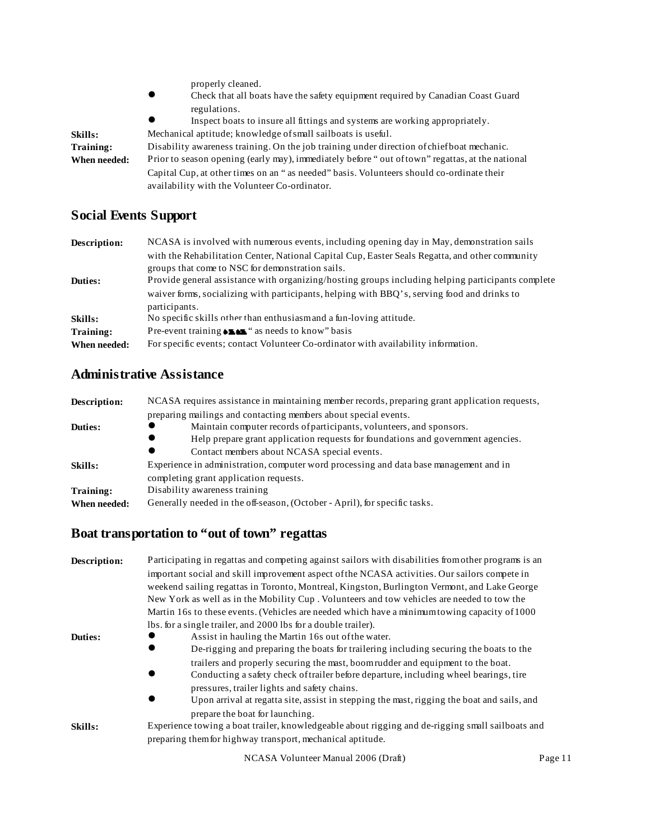|                | properly cleaned.                                                                               |
|----------------|-------------------------------------------------------------------------------------------------|
|                | Check that all boats have the safety equipment required by Canadian Coast Guard                 |
|                | regulations.                                                                                    |
|                | Inspect boats to insure all fittings and systems are working appropriately.                     |
| <b>Skills:</b> | Mechanical aptitude; knowledge of small sailboats is useful.                                    |
| Training:      | Disability awareness training. On the job training under direction of chief boat mechanic.      |
| When needed:   | Prior to season opening (early may), immediately before "out of town" regattas, at the national |
|                | Capital Cup, at other times on an "as needed" basis. Volunteers should co-ordinate their        |
|                | availability with the Volunteer Co-ordinator.                                                   |

### **Social Events Support**

| Description: | NCASA is involved with numerous events, including opening day in May, demonstration sails                    |
|--------------|--------------------------------------------------------------------------------------------------------------|
|              | with the Rehabilitation Center, National Capital Cup, Easter Seals Regatta, and other community              |
|              | groups that come to NSC for demonstration sails.                                                             |
| Duties:      | Provide general assistance with organizing/hosting groups including helping participants complete            |
|              | waiver forms, socializing with participants, helping with BBQ's, serving food and drinks to<br>participants. |
| Skills:      | No specific skills other than enthusiasmand a fun-loving attitude.                                           |
| Training:    | Pre-event training $\bullet$ $\bullet$ $\bullet$ $\bullet$ $\bullet$ as needs to know" basis                 |
| When needed: | For specific events; contact Volunteer Co-ordinator with availability information.                           |

### **Administrative Assistance**

| Description: | NCASA requires assistance in maintaining member records, preparing grant application requests, |
|--------------|------------------------------------------------------------------------------------------------|
|              | preparing mailings and contacting members about special events.                                |
| Duties:      | Maintain computer records of participants, volunteers, and sponsors.                           |
|              | Help prepare grant application requests for foundations and government agencies.               |
|              | Contact members about NCASA special events.                                                    |
| Skills:      | Experience in administration, computer word processing and data base management and in         |
|              | completing grant application requests.                                                         |
| Training:    | Disability awareness training                                                                  |
| When needed: | Generally needed in the off-season, (October - April), for specific tasks.                     |

### **Boat transportation to "out of town" regattas**

| Description: | Participating in regattas and competing against sailors with disabilities from other programs is an                                                                      |  |
|--------------|--------------------------------------------------------------------------------------------------------------------------------------------------------------------------|--|
|              | important social and skill improvement aspect of the NCASA activities. Our sailors compete in                                                                            |  |
|              | weekend sailing regattas in Toronto, Montreal, Kingston, Burlington Vermont, and Lake George                                                                             |  |
|              | New York as well as in the Mobility Cup. Volunteers and tow vehicles are needed to tow the                                                                               |  |
|              | Martin 16s to these events. (Vehicles are needed which have a minimum towing capacity of 1000                                                                            |  |
|              | lbs. for a single trailer, and 2000 lbs for a double trailer).                                                                                                           |  |
| Duties:      | Assist in hauling the Martin 16s out of the water.                                                                                                                       |  |
|              | De-rigging and preparing the boats for trailering including securing the boats to the<br>$\bullet$                                                                       |  |
|              | trailers and properly securing the mast, boom rudder and equipment to the boat.<br>Conducting a safety check of trailer before departure, including wheel bearings, tire |  |
|              | pressures, trailer lights and safety chains.<br>Upon arrival at regatta site, assist in stepping the mast, rigging the boat and sails, and                               |  |
|              | prepare the boat for launching.                                                                                                                                          |  |
| Skills:      | Experience towing a boat trailer, knowledgeable about rigging and de-rigging small sailboats and                                                                         |  |
|              | preparing them for highway transport, mechanical aptitude.                                                                                                               |  |
|              | NCASA Volunteer Manual 2006 (Draft)<br>Page 11                                                                                                                           |  |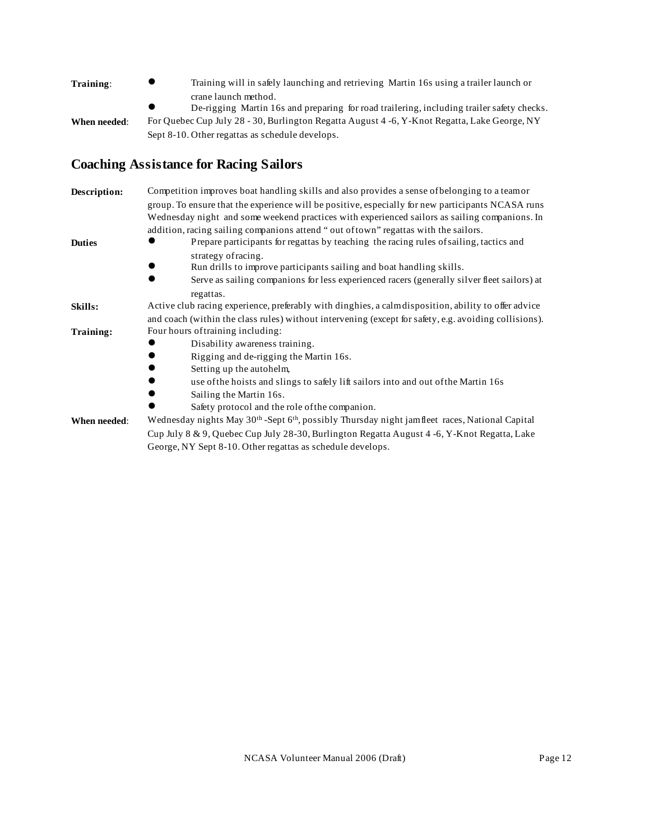| Training:    | Training will in safely launching and retrieving Martin 16s using a trailer launch or<br>$\bullet$     |
|--------------|--------------------------------------------------------------------------------------------------------|
|              | crane launch method.                                                                                   |
|              | De-rigging Martin 16s and preparing for road trailering, including trailer safety checks.<br>$\bullet$ |
| When needed: | For Quebec Cup July 28 - 30, Burlington Regatta August 4 -6, Y-Knot Regatta, Lake George, NY           |
|              | Sept 8-10. Other regattas as schedule develops.                                                        |

### **Coaching Assistance for Racing Sailors**

| Description:  | Competition improves boat handling skills and also provides a sense of belonging to a teamor                           |
|---------------|------------------------------------------------------------------------------------------------------------------------|
|               | group. To ensure that the experience will be positive, especially for new participants NCASA runs                      |
|               | Wednesday night and some weekend practices with experienced sailors as sailing companions. In                          |
|               | addition, racing sailing companions attend "out of town" regattas with the sailors.                                    |
| <b>Duties</b> | Prepare participants for regattas by teaching the racing rules of sailing, tactics and                                 |
|               | strategy of racing.                                                                                                    |
|               | Run drills to improve participants sailing and boat handling skills.                                                   |
|               | Serve as sailing companions for less experienced racers (generally silver fleet sailors) at                            |
|               | regattas.                                                                                                              |
| Skills:       | Active club racing experience, preferably with dinghies, a calmdisposition, ability to offer advice                    |
|               | and coach (within the class rules) without intervening (except for safety, e.g. avoiding collisions).                  |
| Training:     | Four hours of training including:                                                                                      |
|               | Disability awareness training.                                                                                         |
|               | Rigging and de-rigging the Martin 16s.                                                                                 |
|               | Setting up the autohelm,                                                                                               |
|               | use of the hoists and slings to safely lift sailors into and out of the Martin 16s                                     |
|               | Sailing the Martin 16s.                                                                                                |
|               | Safety protocol and the role of the companion.                                                                         |
| When needed:  | Wednesday nights May 30 <sup>th</sup> -Sept 6 <sup>th</sup> , possibly Thursday night jamfleet races, National Capital |
|               | Cup July 8 & 9, Quebec Cup July 28-30, Burlington Regatta August 4 -6, Y-Knot Regatta, Lake                            |
|               | George, NY Sept 8-10. Other regattas as schedule develops.                                                             |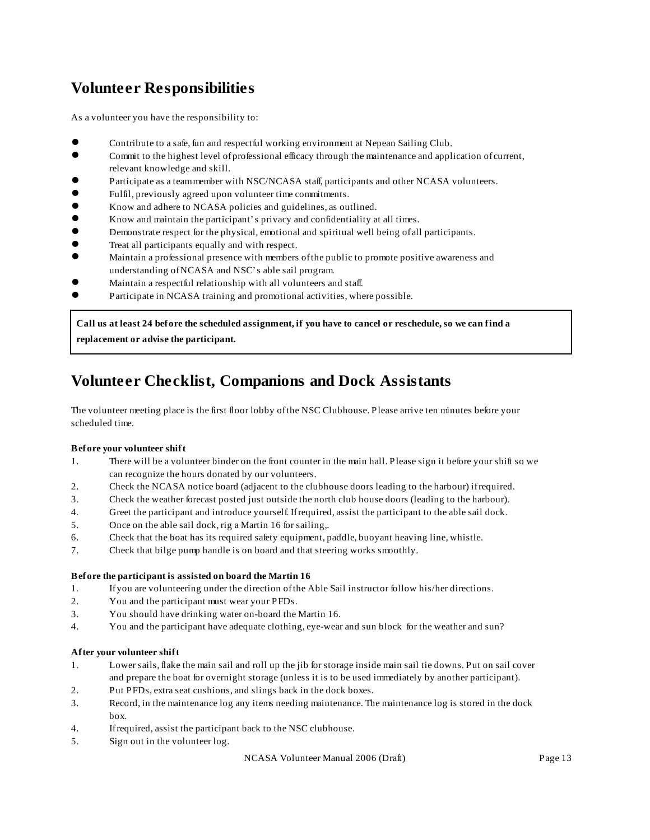# **Volunteer Responsibilities**

As a volunteer you have the responsibility to:

- Contribute to a safe, fun and respectful working environment at Nepean Sailing Club.
- ! Commit to the highest level of professional efficacy through the maintenance and application of current, relevant knowledge and skill.
- ! Participate as a team member with NSC/NCASA staff, participants and other NCASA volunteers.
- ! Fulfil, previously agreed upon volunteer time commitments.
- ! Know and adhere to NCASA policies and guidelines, as outlined.
- ! Know and maintain the participant's privacy and confidentiality at all times.
- ! Demonstrate respect for the physical, emotional and spiritual well being of all participants.
- Treat all participants equally and with respect.
- ! Maintain a professional presence with members of the public to promote positive awareness and understanding of NCASA and NSC's able sail program.
- Maintain a respectful relationship with all volunteers and staff.
- Participate in NCASA training and promotional activities, where possible.

**Call us at least 24 before the scheduled assignment, if you have to cancel or reschedule, so we can find a replacement or advise the participant.**

# **Volunteer Checklist, Companions and Dock Assistants**

The volunteer meeting place is the first floor lobby of the NSC Clubhouse. Please arrive ten minutes before your scheduled time.

#### **Before your volunteer shift**

- 1. There will be a volunteer binder on the front counter in the main hall. Please sign it before your shift so we can recognize the hours donated by our volunteers.
- 2. Check the NCASA notice board (adjacent to the clubhouse doors leading to the harbour) if required.
- 3. Check the weather forecast posted just outside the north club house doors (leading to the harbour).
- 4. Greet the participant and introduce yourself. If required, assist the participant to the able sail dock.
- 5. Once on the able sail dock, rig a Martin 16 for sailing,.
- 6. Check that the boat has its required safety equipment, paddle, buoyant heaving line, whistle.
- 7. Check that bilge pump handle is on board and that steering works smoothly.

#### **Before the participant is assisted on board the Martin 16**

- 1. If you are volunteering under the direction of the Able Sail instructor follow his/her directions.
- 2. You and the participant must wear your PFDs.
- 3. You should have drinking water on-board the Martin 16.
- 4. You and the participant have adequate clothing, eye-wear and sun block for the weather and sun?

#### **After your volunteer shift**

- 1. Lower sails, flake the main sail and roll up the jib for storage inside main sail tie downs. Put on sail cover and prepare the boat for overnight storage (unless it is to be used immediately by another participant).
- 2. Put PFDs, extra seat cushions, and slings back in the dock boxes.
- 3. Record, in the maintenance log any items needing maintenance. The maintenance log is stored in the dock box.
- 4. If required, assist the participant back to the NSC clubhouse.
- 5. Sign out in the volunteer log.

NCASA Volunteer Manual 2006 (Draft) Page 13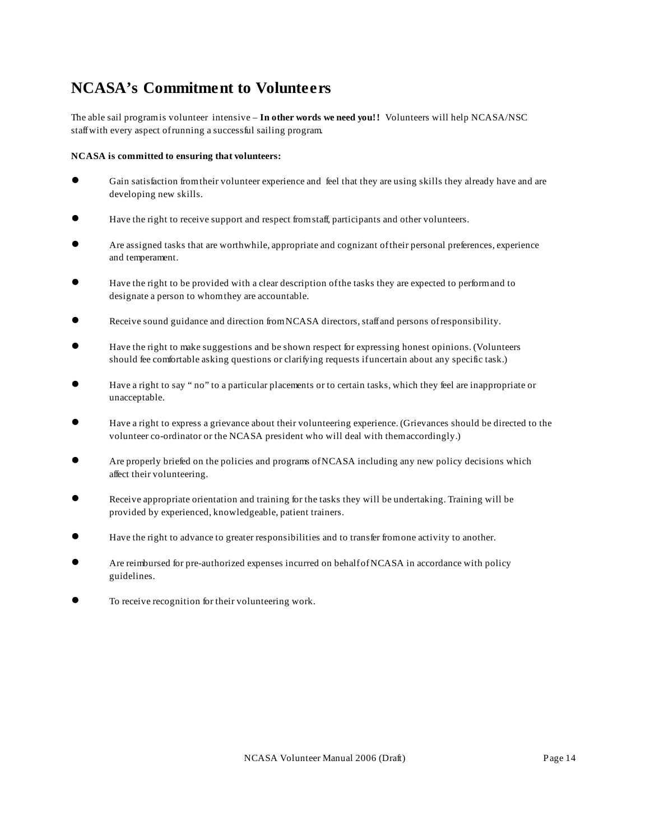# **NCASA's Commitment to Volunteers**

The able sail program is volunteer intensive – In other words we need you!! Volunteers will help NCASA/NSC staff with every aspect of running a successful sailing program.

#### **NCASA is committed to ensuring that volunteers:**

- Gain satisfaction from their volunteer experience and feel that they are using skills they already have and are developing new skills.
- Have the right to receive support and respect from staff, participants and other volunteers.
- Are assigned tasks that are worthwhile, appropriate and cognizant of their personal preferences, experience and temperament.
- Have the right to be provided with a clear description of the tasks they are expected to perform and to designate a person to whom they are accountable.
- Receive sound guidance and direction from NCASA directors, staff and persons of responsibility.
- ! Have the right to make suggestions and be shown respect for expressing honest opinions. (Volunteers should fee comfortable asking questions or clarifying requests if uncertain about any specific task.)
- Have a right to say " no" to a particular placements or to certain tasks, which they feel are inappropriate or unacceptable.
- ! Have a right to express a grievance about their volunteering experience. (Grievances should be directed to the volunteer co-ordinator or the NCASA president who will deal with them accordingly.)
- Are properly briefed on the policies and programs of NCASA including any new policy decisions which affect their volunteering.
- Receive appropriate orientation and training for the tasks they will be undertaking. Training will be provided by experienced, knowledgeable, patient trainers.
- Have the right to advance to greater responsibilities and to transfer from one activity to another.
- Are reimbursed for pre-authorized expenses incurred on behalf of NCASA in accordance with policy guidelines.
- **To receive recognition for their volunteering work.**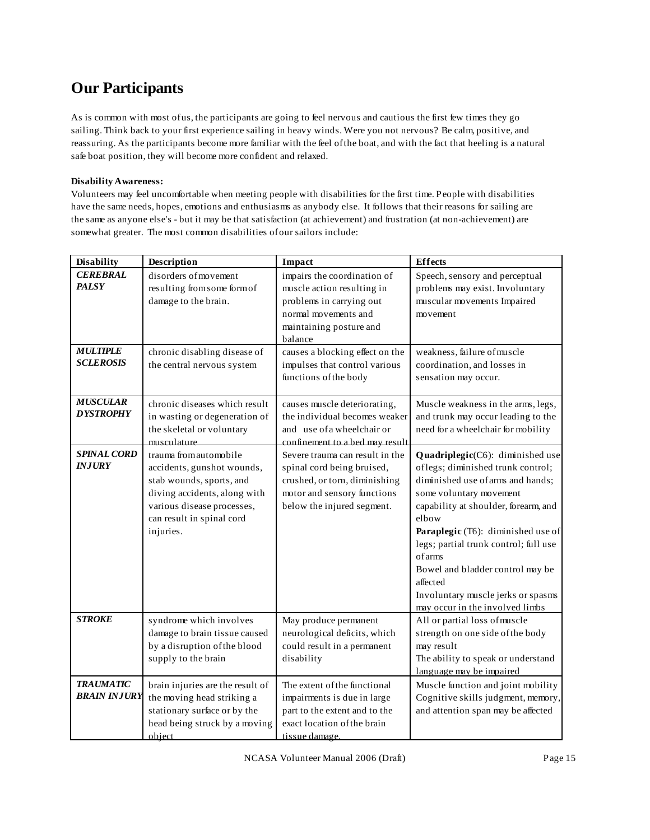# **Our Participants**

As is common with most of us, the participants are going to feel nervous and cautious the first few times they go sailing. Think back to your first experience sailing in heavy winds. Were you not nervous? Be calm, positive, and reassuring. As the participants become more familiar with the feel of the boat, and with the fact that heeling is a natural safe boat position, they will become more confident and relaxed.

#### **Disability Awareness:**

Volunteers may feel uncomfortable when meeting people with disabilities for the first time. People with disabilities have the same needs, hopes, emotions and enthusiasms as anybody else. It follows that their reasons for sailing are the same as anyone else's - but it may be that satisfaction (at achievement) and frustration (at non-achievement) are somewhat greater. The most common disabilities of our sailors include:

| <b>Disability</b>                       | Description                                                                                                                                                                              | Impact                                                                                                                                                      | <b>Effects</b>                                                                                                                                                                                                                                                                                                                                                                                           |
|-----------------------------------------|------------------------------------------------------------------------------------------------------------------------------------------------------------------------------------------|-------------------------------------------------------------------------------------------------------------------------------------------------------------|----------------------------------------------------------------------------------------------------------------------------------------------------------------------------------------------------------------------------------------------------------------------------------------------------------------------------------------------------------------------------------------------------------|
| <b>CEREBRAL</b><br><b>PALSY</b>         | disorders of movement<br>resulting from some form of<br>damage to the brain.                                                                                                             | impairs the coordination of<br>muscle action resulting in<br>problems in carrying out<br>normal movements and<br>maintaining posture and<br>balance         | Speech, sensory and perceptual<br>problems may exist. Involuntary<br>muscular movements Impaired<br>movement                                                                                                                                                                                                                                                                                             |
| <b>MULTIPLE</b><br><b>SCLEROSIS</b>     | chronic disabling disease of<br>the central nervous system                                                                                                                               | causes a blocking effect on the<br>impulses that control various<br>functions of the body                                                                   | weakness, failure of muscle<br>coordination, and losses in<br>sensation may occur.                                                                                                                                                                                                                                                                                                                       |
| <b>MUSCULAR</b><br><b>DYSTROPHY</b>     | chronic diseases which result<br>in wasting or degeneration of<br>the skeletal or voluntary<br>musculature                                                                               | causes muscle deteriorating,<br>the individual becomes weaker<br>and use of a wheelchair or<br>confinement to a bed may result                              | Muscle weakness in the arms, legs,<br>and trunk may occur leading to the<br>need for a wheelchair for mobility                                                                                                                                                                                                                                                                                           |
| <b>SPINAL CORD</b><br><b>INJURY</b>     | trauma from automobile<br>accidents, gunshot wounds,<br>stab wounds, sports, and<br>diving accidents, along with<br>various disease processes,<br>can result in spinal cord<br>injuries. | Severe trauma can result in the<br>spinal cord being bruised,<br>crushed, or torn, diminishing<br>motor and sensory functions<br>below the injured segment. | Quadriplegic(C6): diminished use<br>oflegs; diminished trunk control;<br>diminished use of arms and hands;<br>some voluntary movement<br>capability at shoulder, forearm, and<br>elbow<br>Paraplegic (T6): diminished use of<br>legs; partial trunk control; full use<br>ofarms<br>Bowel and bladder control may be<br>affected<br>Involuntary muscle jerks or spasms<br>may occur in the involved limbs |
| <b>STROKE</b>                           | syndrome which involves<br>damage to brain tissue caused<br>by a disruption of the blood<br>supply to the brain                                                                          | May produce permanent<br>neurological deficits, which<br>could result in a permanent<br>disability                                                          | All or partial loss of muscle<br>strength on one side of the body<br>may result<br>The ability to speak or understand<br>language may be impaired                                                                                                                                                                                                                                                        |
| <b>TRAUMATIC</b><br><b>BRAIN INJURY</b> | brain injuries are the result of<br>the moving head striking a<br>stationary surface or by the<br>head being struck by a moving<br>obiect                                                | The extent of the functional<br>impairments is due in large<br>part to the extent and to the<br>exact location of the brain<br>tissue damage.               | Muscle function and joint mobility<br>Cognitive skills judgment, memory,<br>and attention span may be affected                                                                                                                                                                                                                                                                                           |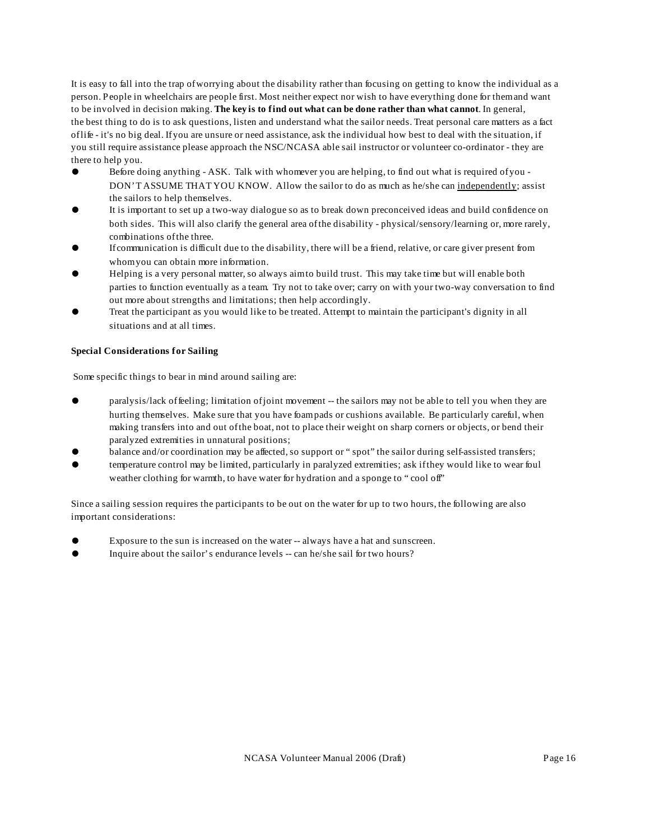It is easy to fall into the trap of worrying about the disability rather than focusing on getting to know the individual as a person. People in wheelchairs are people first. Most neither expect nor wish to have everything done for them and want to be involved in decision making. **The key is to find out what can be done rather than what cannot**. In general, the best thing to do is to ask questions, listen and understand what the sailor needs. Treat personal care matters as a fact of life - it's no big deal. If you are unsure or need assistance, ask the individual how best to deal with the situation, if you still require assistance please approach the NSC/NCASA able sail instructor or volunteer co-ordinator - they are there to help you.

- Before doing anything ASK. Talk with whomever you are helping, to find out what is required of you -DON'T ASSUME THAT YOU KNOW. Allow the sailor to do as much as he/she can independently; assist the sailors to help themselves.
- ! It is important to set up a two-way dialogue so as to break down preconceived ideas and build confidence on both sides. This will also clarify the general area of the disability - physical/sensory/learning or, more rarely, combinations of the three.
- ! If communication is difficult due to the disability, there will be a friend, relative, or care giver present from whom you can obtain more information.
- ! Helping is a very personal matter, so always aim to build trust. This may take time but will enable both parties to function eventually as a team. Try not to take over; carry on with your two-way conversation to find out more about strengths and limitations; then help accordingly.
- ! Treat the participant as you would like to be treated. Attempt to maintain the participant's dignity in all situations and at all times.

#### **Special Considerations for Sailing**

Some specific things to bear in mind around sailing are:

- paralysis/lack of feeling; limitation of joint movement -- the sailors may not be able to tell you when they are hurting themselves. Make sure that you have foam pads or cushions available. Be particularly careful, when making transfers into and out of the boat, not to place their weight on sharp corners or objects, or bend their paralyzed extremities in unnatural positions;
- balance and/or coordination may be affected, so support or "spot" the sailor during self-assisted transfers;
- ! temperature control may be limited, particularly in paralyzed extremities; ask if they would like to wear foul weather clothing for warmth, to have water for hydration and a sponge to "cool off"

Since a sailing session requires the participants to be out on the water for up to two hours, the following are also important considerations:

- Exposure to the sun is increased on the water -- always have a hat and sunscreen.
- ! Inquire about the sailor's endurance levels -- can he/she sail for two hours?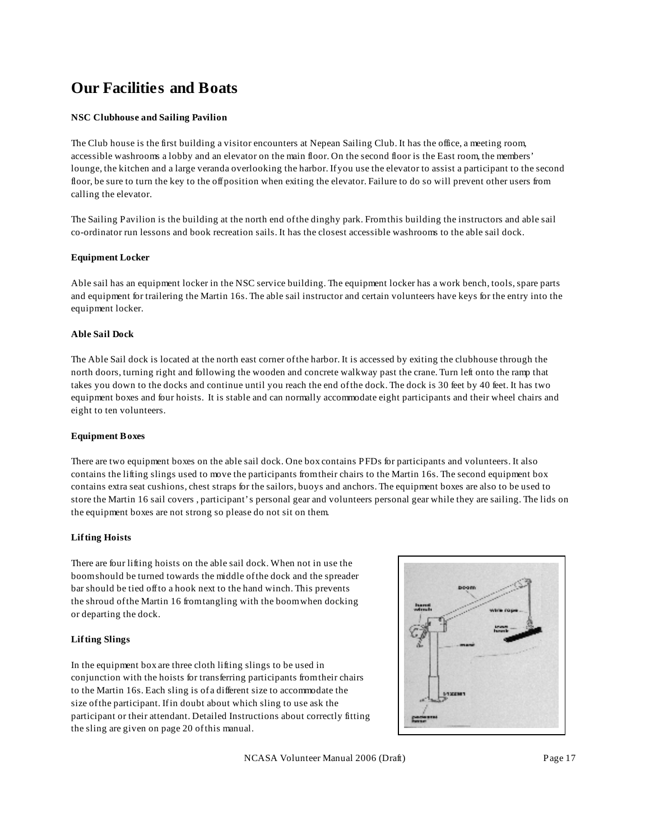# **Our Facilities and Boats**

#### **NSC Clubhouse and Sailing Pavilion**

The Club house is the first building a visitor encounters at Nepean Sailing Club. It has the office, a meeting room, accessible washrooms a lobby and an elevator on the main floor. On the second floor is the East room, the members' lounge, the kitchen and a large veranda overlooking the harbor. If you use the elevator to assist a participant to the second floor, be sure to turn the key to the off position when exiting the elevator. Failure to do so will prevent other users from calling the elevator.

The Sailing Pavilion is the building at the north end of the dinghy park. From this building the instructors and able sail co-ordinator run lessons and book recreation sails. It has the closest accessible washrooms to the able sail dock.

#### **Equipment Locker**

Able sail has an equipment locker in the NSC service building. The equipment locker has a work bench, tools, spare parts and equipment for trailering the Martin 16s. The able sail instructor and certain volunteers have keys for the entry into the equipment locker.

#### **Able Sail Dock**

The Able Sail dock is located at the north east corner of the harbor. It is accessed by exiting the clubhouse through the north doors, turning right and following the wooden and concrete walkway past the crane. Turn left onto the ramp that takes you down to the docks and continue until you reach the end of the dock. The dock is 30 feet by 40 feet. It has two equipment boxes and four hoists. It is stable and can normally accommodate eight participants and their wheel chairs and eight to ten volunteers.

#### **Equipment Boxes**

There are two equipment boxes on the able sail dock. One box contains PFDs for participants and volunteers. It also contains the lifting slings used to move the participants from their chairs to the Martin 16s. The second equipment box contains extra seat cushions, chest straps for the sailors, buoys and anchors. The equipment boxes are also to be used to store the Martin 16 sail covers , participant's personal gear and volunteers personal gear while they are sailing. The lids on the equipment boxes are not strong so please do not sit on them.

#### **Lifting Hoists**

There are four lifting hoists on the able sail dock. When not in use the boom should be turned towards the middle of the dock and the spreader bar should be tied off to a hook next to the hand winch. This prevents the shroud of the Martin 16 from tangling with the boom when docking or departing the dock.

#### **Lifting Slings**

In the equipment box are three cloth lifting slings to be used in conjunction with the hoists for transferring participants from their chairs to the Martin 16s. Each sling is of a different size to accommodate the size of the participant. If in doubt about which sling to use ask the participant or their attendant. Detailed Instructions about correctly fitting the sling are given on page 20 of this manual.

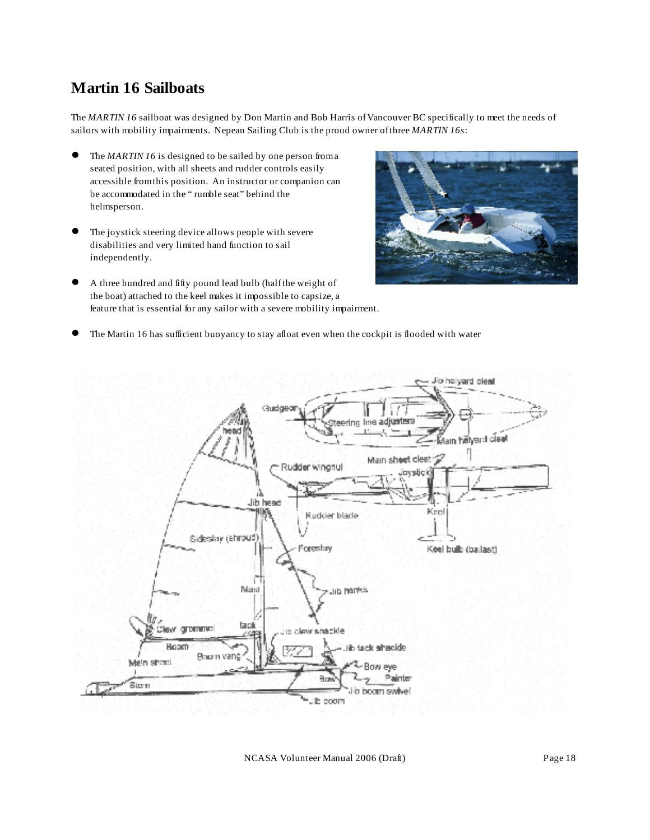### **Martin 16 Sailboats**

The *MARTIN 16* sailboat was designed by Don Martin and Bob Harris of Vancouver BC specifically to meet the needs of sailors with mobility impairments. Nepean Sailing Club is the proud owner of three *MARTIN 16s*:

- The *MARTIN 16* is designed to be sailed by one person from a seated position, with all sheets and rudder controls easily accessible from this position. An instructor or companion can be accommodated in the " rumble seat" behind the helmsperson.
- The joystick steering device allows people with severe disabilities and very limited hand function to sail independently.



- A three hundred and fifty pound lead bulb (half the weight of the boat) attached to the keel makes it impossible to capsize, a feature that is essential for any sailor with a severe mobility impairment.
- ! The Martin 16 has sufficient buoyancy to stay afloat even when the cockpit is flooded with water



NCASA Volunteer Manual 2006 (Draft) Page 18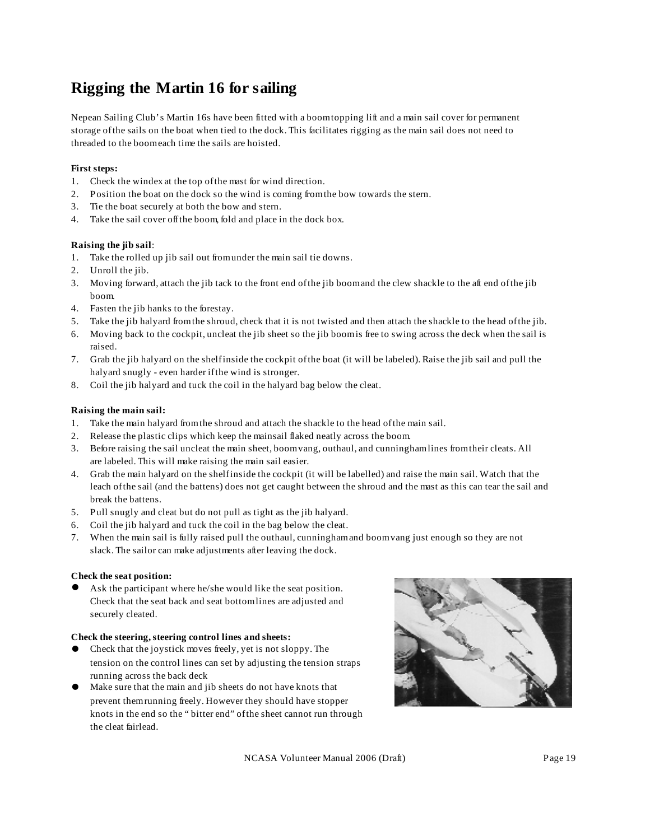# **Rigging the Martin 16 for sailing**

Nepean Sailing Club's Martin 16s have been fitted with a boom topping lift and a main sail cover for permanent storage of the sails on the boat when tied to the dock. This facilitates rigging as the main sail does not need to threaded to the boom each time the sails are hoisted.

#### **First steps:**

- 1. Check the windex at the top of the mast for wind direction.
- 2. Position the boat on the dock so the wind is coming from the bow towards the stern.
- 3. Tie the boat securely at both the bow and stern.
- 4. Take the sail cover off the boom, fold and place in the dock box.

#### **Raising the jib sail**:

- 1. Take the rolled up jib sail out from under the main sail tie downs.
- 2. Unroll the jib.
- 3. Moving forward, attach the jib tack to the front end of the jib boom and the clew shackle to the aft end of the jib boom.
- 4. Fasten the jib hanks to the forestay.
- 5. Take the jib halyard from the shroud, check that it is not twisted and then attach the shackle to the head of the jib.
- 6. Moving back to the cockpit, uncleat the jib sheet so the jib boom is free to swing across the deck when the sail is raised.
- 7. Grab the jib halyard on the shelf inside the cockpit of the boat (it will be labeled). Raise the jib sail and pull the halyard snugly - even harder if the wind is stronger.
- 8. Coil the jib halyard and tuck the coil in the halyard bag below the cleat.

#### **Raising the main sail:**

- 1. Take the main halyard from the shroud and attach the shackle to the head of the main sail.
- 2. Release the plastic clips which keep the mainsail flaked neatly across the boom.
- 3. Before raising the sail uncleat the main sheet, boom vang, outhaul, and cunningham lines from their cleats. All are labeled. This will make raising the main sail easier.
- 4. Grab the main halyard on the shelf inside the cockpit (it will be labelled) and raise the main sail. Watch that the leach of the sail (and the battens) does not get caught between the shroud and the mast as this can tear the sail and break the battens.
- 5. Pull snugly and cleat but do not pull as tight as the jib halyard.
- 6. Coil the jib halyard and tuck the coil in the bag below the cleat.
- 7. When the main sail is fully raised pull the outhaul, cunningham and boom vang just enough so they are not slack. The sailor can make adjustments after leaving the dock.

#### **Check the seat position:**

Ask the participant where he/she would like the seat position. Check that the seat back and seat bottom lines are adjusted and securely cleated.

#### **Check the steering, steering control lines and sheets:**

- Check that the joystick moves freely, yet is not sloppy. The tension on the control lines can set by adjusting the tension straps running across the back deck
- ! Make sure that the main and jib sheets do not have knots that prevent them running freely. However they should have stopper knots in the end so the " bitter end" of the sheet cannot run through the cleat fairlead.



NCASA Volunteer Manual 2006 (Draft) Page 19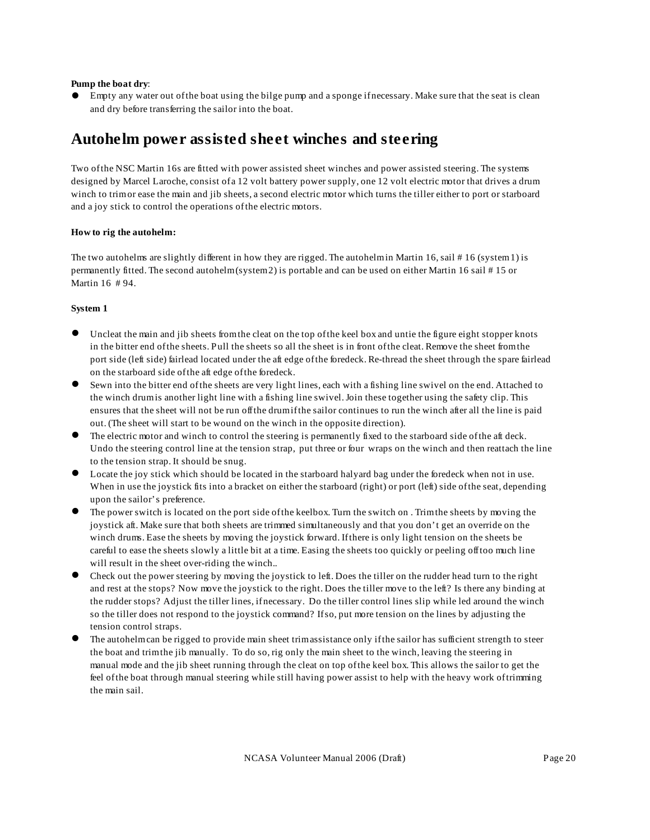#### **Pump the boat dry**:

! Empty any water out of the boat using the bilge pump and a sponge if necessary. Make sure that the seat is clean and dry before transferring the sailor into the boat.

### **Autohelm power assisted sheet winches and steering**

Two of the NSC Martin 16s are fitted with power assisted sheet winches and power assisted steering. The systems designed by Marcel Laroche, consist of a 12 volt battery power supply, one 12 volt electric motor that drives a drum winch to trim or ease the main and jib sheets, a second electric motor which turns the tiller either to port or starboard and a joy stick to control the operations of the electric motors.

#### **How to rig the autohelm:**

The two autohelms are slightly different in how they are rigged. The autohelm in Martin 16, sail # 16 (system 1) is permanently fitted. The second autohelm (system 2) is portable and can be used on either Martin 16 sail # 15 or Martin 16 # 94.

#### **System 1**

- Uncleat the main and jib sheets from the cleat on the top of the keel box and untie the figure eight stopper knots in the bitter end of the sheets. Pull the sheets so all the sheet is in front of the cleat. Remove the sheet from the port side (left side) fairlead located under the aft edge of the foredeck. Re-thread the sheet through the spare fairlead on the starboard side of the aft edge of the foredeck.
- ! Sewn into the bitter end of the sheets are very light lines, each with a fishing line swivel on the end. Attached to the winch drum is another light line with a fishing line swivel. Join these together using the safety clip. This ensures that the sheet will not be run off the drum if the sailor continues to run the winch after all the line is paid out. (The sheet will start to be wound on the winch in the opposite direction).
- The electric motor and winch to control the steering is permanently fixed to the starboard side of the aft deck. Undo the steering control line at the tension strap, put three or four wraps on the winch and then reattach the line to the tension strap. It should be snug.
- ! Locate the joy stick which should be located in the starboard halyard bag under the foredeck when not in use. When in use the joystick fits into a bracket on either the starboard (right) or port (left) side of the seat, depending upon the sailor's preference.
- ! The power switch is located on the port side of the keelbox. Turn the switch on . Trim the sheets by moving the joystick aft. Make sure that both sheets are trimmed simultaneously and that you don't get an override on the winch drums. Ease the sheets by moving the joystick forward. If there is only light tension on the sheets be careful to ease the sheets slowly a little bit at a time. Easing the sheets too quickly or peeling off too much line will result in the sheet over-riding the winch..
- ! Check out the power steering by moving the joystick to left. Does the tiller on the rudder head turn to the right and rest at the stops? Now move the joystick to the right. Does the tiller move to the left? Is there any binding at the rudder stops? Adjust the tiller lines, if necessary. Do the tiller control lines slip while led around the winch so the tiller does not respond to the joystick command? If so, put more tension on the lines by adjusting the tension control straps.
- ! The autohelm can be rigged to provide main sheet trim assistance only if the sailor has sufficient strength to steer the boat and trim the jib manually. To do so, rig only the main sheet to the winch, leaving the steering in manual mode and the jib sheet running through the cleat on top of the keel box. This allows the sailor to get the feel of the boat through manual steering while still having power assist to help with the heavy work of trimming the main sail.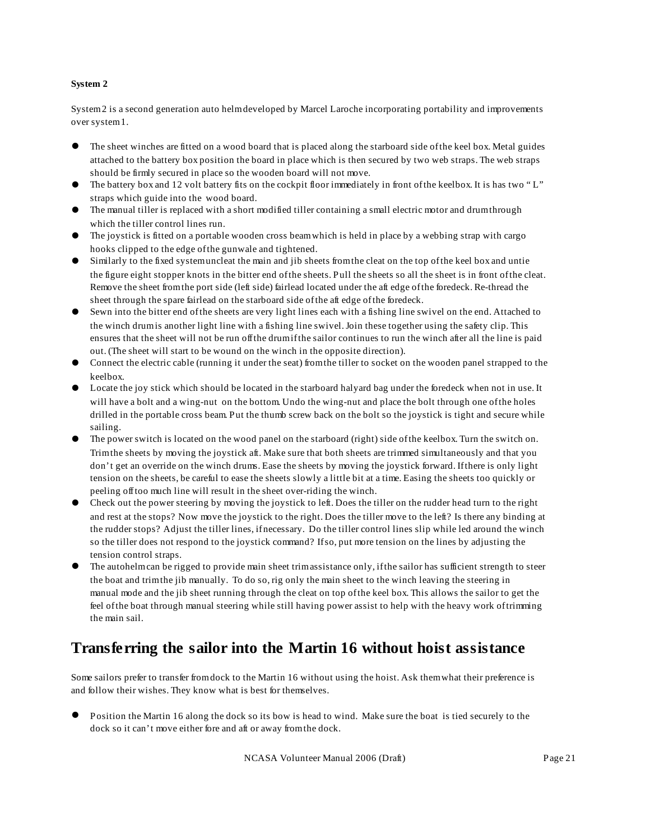#### **System 2**

System 2 is a second generation auto helm developed by Marcel Laroche incorporating portability and improvements over system 1.

- ! The sheet winches are fitted on a wood board that is placed along the starboard side of the keel box. Metal guides attached to the battery box position the board in place which is then secured by two web straps. The web straps should be firmly secured in place so the wooden board will not move.
- ! The battery box and 12 volt battery fits on the cockpit floor immediately in front of the keelbox. It is has two " L" straps which guide into the wood board.
- ! The manual tiller is replaced with a short modified tiller containing a small electric motor and drum through which the tiller control lines run.
- ! The joystick is fitted on a portable wooden cross beam which is held in place by a webbing strap with cargo hooks clipped to the edge of the gunwale and tightened.
- Similarly to the fixed system uncleat the main and jib sheets from the cleat on the top of the keel box and untie the figure eight stopper knots in the bitter end of the sheets. Pull the sheets so all the sheet is in front of the cleat. Remove the sheet from the port side (left side) fairlead located under the aft edge of the foredeck. Re-thread the sheet through the spare fairlead on the starboard side of the aft edge of the foredeck.
- Sewn into the bitter end of the sheets are very light lines each with a fishing line swivel on the end. Attached to the winch drum is another light line with a fishing line swivel. Join these together using the safety clip. This ensures that the sheet will not be run off the drum if the sailor continues to run the winch after all the line is paid out. (The sheet will start to be wound on the winch in the opposite direction).
- ! Connect the electric cable (running it under the seat) from the tiller to socket on the wooden panel strapped to the keelbox.
- ! Locate the joy stick which should be located in the starboard halyard bag under the foredeck when not in use. It will have a bolt and a wing-nut on the bottom. Undo the wing-nut and place the bolt through one of the holes drilled in the portable cross beam. Put the thumb screw back on the bolt so the joystick is tight and secure while sailing.
- ! The power switch is located on the wood panel on the starboard (right) side of the keelbox. Turn the switch on. Trim the sheets by moving the joystick aft. Make sure that both sheets are trimmed simultaneously and that you don't get an override on the winch drums. Ease the sheets by moving the joystick forward. If there is only light tension on the sheets, be careful to ease the sheets slowly a little bit at a time. Easing the sheets too quickly or peeling off too much line will result in the sheet over-riding the winch.
- ! Check out the power steering by moving the joystick to left. Does the tiller on the rudder head turn to the right and rest at the stops? Now move the joystick to the right. Does the tiller move to the left? Is there any binding at the rudder stops? Adjust the tiller lines, if necessary. Do the tiller control lines slip while led around the winch so the tiller does not respond to the joystick command? If so, put more tension on the lines by adjusting the tension control straps.
- The autohelm can be rigged to provide main sheet trim assistance only, if the sailor has sufficient strength to steer the boat and trim the jib manually. To do so, rig only the main sheet to the winch leaving the steering in manual mode and the jib sheet running through the cleat on top of the keel box. This allows the sailor to get the feel of the boat through manual steering while still having power assist to help with the heavy work of trimming the main sail.

### **Transferring the sailor into the Martin 16 without hoist assistance**

Some sailors prefer to transfer from dock to the Martin 16 without using the hoist. Ask them what their preference is and follow their wishes. They know what is best for themselves.

! Position the Martin 16 along the dock so its bow is head to wind. Make sure the boat is tied securely to the dock so it can't move either fore and aft or away from the dock.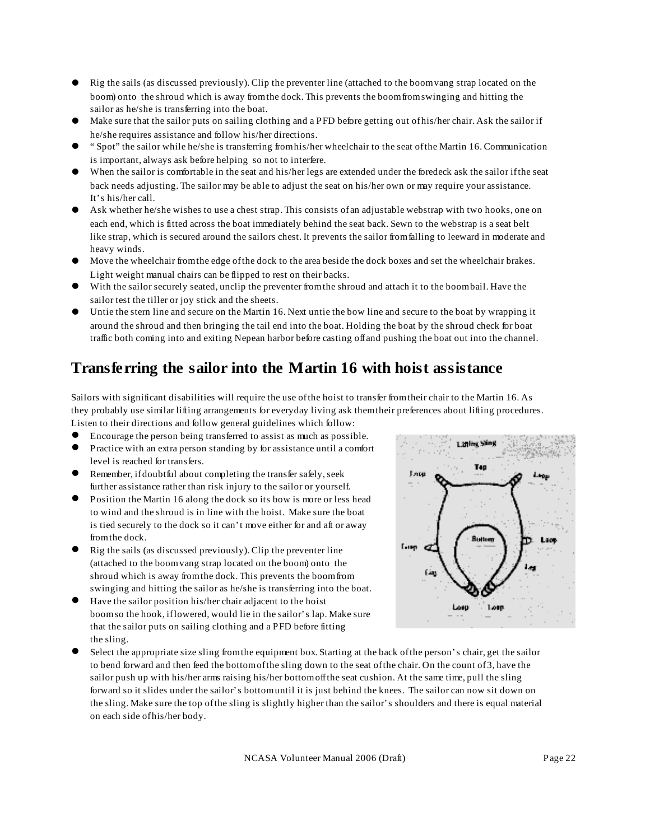- ! Rig the sails (as discussed previously). Clip the preventer line (attached to the boom vang strap located on the boom) onto the shroud which is away from the dock. This prevents the boom from swinging and hitting the sailor as he/she is transferring into the boat.
- ! Make sure that the sailor puts on sailing clothing and a PFD before getting out of his/her chair. Ask the sailor if he/she requires assistance and follow his/her directions.
- ! " Spot" the sailor while he/she is transferring from his/her wheelchair to the seat of the Martin 16. Communication is important, always ask before helping so not to interfere.
- ! When the sailor is comfortable in the seat and his/her legs are extended under the foredeck ask the sailor if the seat back needs adjusting. The sailor may be able to adjust the seat on his/her own or may require your assistance. It's his/her call.
- Ask whether he/she wishes to use a chest strap. This consists of an adjustable webstrap with two hooks, one on each end, which is fitted across the boat immediately behind the seat back. Sewn to the webstrap is a seat belt like strap, which is secured around the sailors chest. It prevents the sailor from falling to leeward in moderate and heavy winds.
- ! Move the wheelchair from the edge of the dock to the area beside the dock boxes and set the wheelchair brakes. Light weight manual chairs can be flipped to rest on their backs.
- With the sailor securely seated, unclip the preventer from the shroud and attach it to the boom bail. Have the sailor test the tiller or joy stick and the sheets.
- Untie the stern line and secure on the Martin 16. Next untie the bow line and secure to the boat by wrapping it around the shroud and then bringing the tail end into the boat. Holding the boat by the shroud check for boat traffic both coming into and exiting Nepean harbor before casting off and pushing the boat out into the channel.

### **Transferring the sailor into the Martin 16 with hoist assistance**

Sailors with significant disabilities will require the use of the hoist to transfer from their chair to the Martin 16. As they probably use similar lifting arrangements for everyday living ask them their preferences about lifting procedures. Listen to their directions and follow general guidelines which follow:

- ! Encourage the person being transferred to assist as much as possible.
- ! Practice with an extra person standing by for assistance until a comfort
- level is reached for transfers. Remember, if doubtful about completing the transfer safely, seek
- further assistance rather than risk injury to the sailor or yourself.
- Position the Martin 16 along the dock so its bow is more or less head to wind and the shroud is in line with the hoist. Make sure the boat is tied securely to the dock so it can't move either for and aft or away from the dock.
- Rig the sails (as discussed previously). Clip the preventer line (attached to the boom vang strap located on the boom) onto the shroud which is away from the dock. This prevents the boom from swinging and hitting the sailor as he/she is transferring into the boat.
- Have the sailor position his/her chair adjacent to the hoist boom so the hook, if lowered, would lie in the sailor's lap. Make sure that the sailor puts on sailing clothing and a PFD before fitting the sling.



Lating Sing

**T40** 

Enter

Select the appropriate size sling from the equipment box. Starting at the back of the person's chair, get the sailor to bend forward and then feed the bottom of the sling down to the seat of the chair. On the count of 3, have the sailor push up with his/her arms raising his/her bottom off the seat cushion. At the same time, pull the sling forward so it slides under the sailor's bottom until it is just behind the knees. The sailor can now sit down on the sling. Make sure the top of the sling is slightly higher than the sailor's shoulders and there is equal material on each side of his/her body.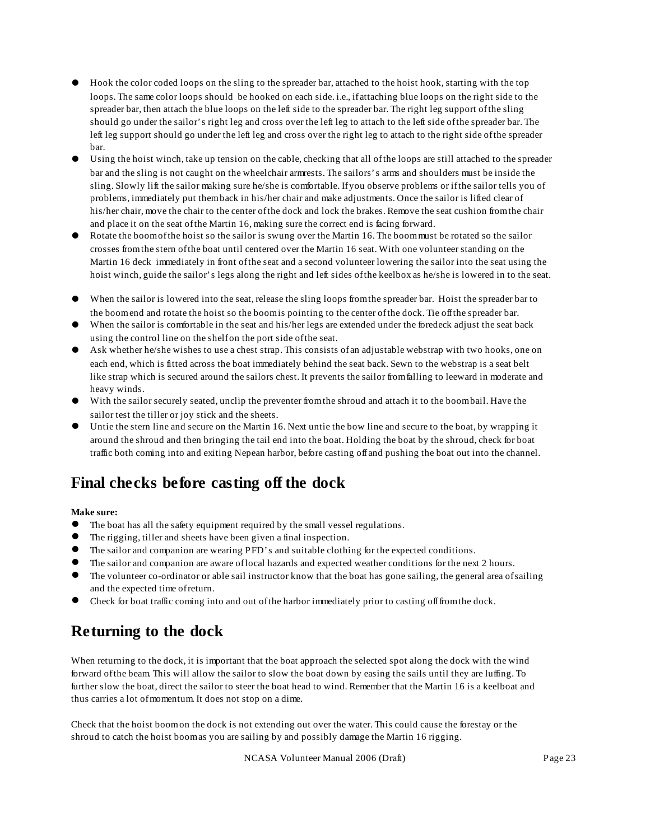- ! Hook the color coded loops on the sling to the spreader bar, attached to the hoist hook, starting with the top loops. The same color loops should be hooked on each side. i.e., if attaching blue loops on the right side to the spreader bar, then attach the blue loops on the left side to the spreader bar. The right leg support of the sling should go under the sailor's right leg and cross over the left leg to attach to the left side of the spreader bar. The left leg support should go under the left leg and cross over the right leg to attach to the right side of the spreader bar.
- Using the hoist winch, take up tension on the cable, checking that all of the loops are still attached to the spreader bar and the sling is not caught on the wheelchair armrests. The sailors's arms and shoulders must be inside the sling. Slowly lift the sailor making sure he/she is comfortable. If you observe problems or if the sailor tells you of problems, immediately put them back in his/her chair and make adjustments. Once the sailor is lifted clear of his/her chair, move the chair to the center of the dock and lock the brakes. Remove the seat cushion from the chair and place it on the seat of the Martin 16, making sure the correct end is facing forward.
- Rotate the boom of the hoist so the sailor is swung over the Martin 16. The boom must be rotated so the sailor crosses from the stern of the boat until centered over the Martin 16 seat. With one volunteer standing on the Martin 16 deck immediately in front of the seat and a second volunteer lowering the sailor into the seat using the hoist winch, guide the sailor's legs along the right and left sides of the keelbox as he/she is lowered in to the seat.
- When the sailor is lowered into the seat, release the sling loops from the spreader bar. Hoist the spreader bar to the boom end and rotate the hoist so the boom is pointing to the center of the dock. Tie off the spreader bar.
- When the sailor is comfortable in the seat and his/her legs are extended under the foredeck adjust the seat back using the control line on the shelf on the port side of the seat.
- Ask whether he/she wishes to use a chest strap. This consists of an adjustable webstrap with two hooks, one on each end, which is fitted across the boat immediately behind the seat back. Sewn to the webstrap is a seat belt like strap which is secured around the sailors chest. It prevents the sailor from falling to leeward in moderate and heavy winds.
- With the sailor securely seated, unclip the preventer from the shroud and attach it to the boom bail. Have the sailor test the tiller or joy stick and the sheets.
- Untie the stern line and secure on the Martin 16. Next untie the bow line and secure to the boat, by wrapping it around the shroud and then bringing the tail end into the boat. Holding the boat by the shroud, check for boat traffic both coming into and exiting Nepean harbor, before casting off and pushing the boat out into the channel.

# **Final checks before casting off the dock**

#### **Make sure:**

- The boat has all the safety equipment required by the small vessel regulations.
- The rigging, tiller and sheets have been given a final inspection.
- ! The sailor and companion are wearing PFD's and suitable clothing for the expected conditions.
- ! The sailor and companion are aware of local hazards and expected weather conditions for the next 2 hours.
- ! The volunteer co-ordinator or able sail instructor know that the boat has gone sailing, the general area of sailing and the expected time of return.
- ! Check for boat traffic coming into and out of the harbor immediately prior to casting off from the dock.

# **Returning to the dock**

When returning to the dock, it is important that the boat approach the selected spot along the dock with the wind forward of the beam. This will allow the sailor to slow the boat down by easing the sails until they are luffing. To further slow the boat, direct the sailor to steer the boat head to wind. Remember that the Martin 16 is a keelboat and thus carries a lot of momentum. It does not stop on a dime.

Check that the hoist boom on the dock is not extending out over the water. This could cause the forestay or the shroud to catch the hoist boom as you are sailing by and possibly damage the Martin 16 rigging.

NCASA Volunteer Manual 2006 (Draft) Page 23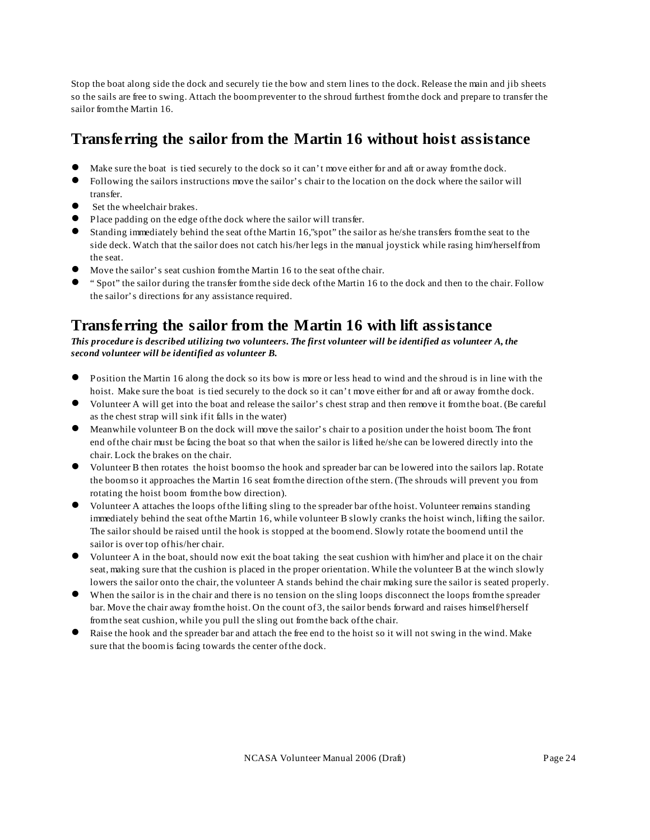Stop the boat along side the dock and securely tie the bow and stern lines to the dock. Release the main and jib sheets so the sails are free to swing. Attach the boom preventer to the shroud furthest from the dock and prepare to transfer the sailor from the Martin 16.

### **Transferring the sailor from the Martin 16 without hoist assistance**

- Make sure the boat is tied securely to the dock so it can't move either for and aft or away from the dock.
- ! Following the sailors instructions move the sailor's chair to the location on the dock where the sailor will transfer.
- Set the wheelchair brakes.
- ! Place padding on the edge of the dock where the sailor will transfer.
- Standing immediately behind the seat of the Martin 16,"spot" the sailor as he/she transfers from the seat to the side deck. Watch that the sailor does not catch his/her legs in the manual joystick while rasing him/herself from the seat.
- Move the sailor's seat cushion from the Martin 16 to the seat of the chair.
- ! " Spot" the sailor during the transfer from the side deck of the Martin 16 to the dock and then to the chair. Follow the sailor's directions for any assistance required.

### **Transferring the sailor from the Martin 16 with lift assistance**

*This procedure is described utilizing two volunteers. The first volunteer will be identified as volunteer A, the second volunteer will be identified as volunteer B.*

- ! Position the Martin 16 along the dock so its bow is more or less head to wind and the shroud is in line with the hoist. Make sure the boat is tied securely to the dock so it can't move either for and aft or away from the dock.
- Volunteer A will get into the boat and release the sailor's chest strap and then remove it from the boat. (Be careful as the chest strap will sink if it falls in the water)
- ! Meanwhile volunteer B on the dock will move the sailor's chair to a position under the hoist boom. The front end of the chair must be facing the boat so that when the sailor is lifted he/she can be lowered directly into the chair. Lock the brakes on the chair.
- ! Volunteer B then rotates the hoist boom so the hook and spreader bar can be lowered into the sailors lap. Rotate the boom so it approaches the Martin 16 seat from the direction of the stern. (The shrouds will prevent you from rotating the hoist boom from the bow direction).
- ! Volunteer A attaches the loops of the lifting sling to the spreader bar of the hoist. Volunteer remains standing immediately behind the seat of the Martin 16, while volunteer B slowly cranks the hoist winch, lifting the sailor. The sailor should be raised until the hook is stopped at the boom end. Slowly rotate the boom end until the sailor is over top of his/her chair.
- ! Volunteer A in the boat, should now exit the boat taking the seat cushion with him/her and place it on the chair seat, making sure that the cushion is placed in the proper orientation. While the volunteer B at the winch slowly lowers the sailor onto the chair, the volunteer A stands behind the chair making sure the sailor is seated properly.
- When the sailor is in the chair and there is no tension on the sling loops disconnect the loops from the spreader bar. Move the chair away from the hoist. On the count of 3, the sailor bends forward and raises himself/herself from the seat cushion, while you pull the sling out from the back of the chair.
- Raise the hook and the spreader bar and attach the free end to the hoist so it will not swing in the wind. Make sure that the boom is facing towards the center of the dock.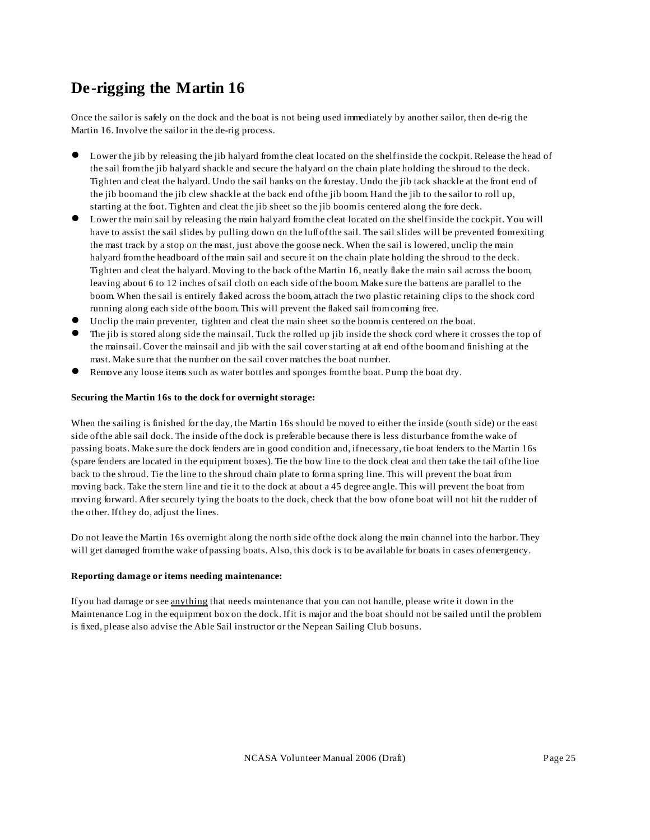# **De-rigging the Martin 16**

Once the sailor is safely on the dock and the boat is not being used immediately by another sailor, then de-rig the Martin 16. Involve the sailor in the de-rig process.

- Lower the jib by releasing the jib halyard from the cleat located on the shelf inside the cockpit. Release the head of the sail from the jib halyard shackle and secure the halyard on the chain plate holding the shroud to the deck. Tighten and cleat the halyard. Undo the sail hanks on the forestay. Undo the jib tack shackle at the front end of the jib boom and the jib clew shackle at the back end of the jib boom. Hand the jib to the sailor to roll up, starting at the foot. Tighten and cleat the jib sheet so the jib boom is centered along the fore deck.
- ! Lower the main sail by releasing the main halyard from the cleat located on the shelf inside the cockpit. You will have to assist the sail slides by pulling down on the luff of the sail. The sail slides will be prevented from exiting the mast track by a stop on the mast, just above the goose neck. When the sail is lowered, unclip the main halyard from the headboard of the main sail and secure it on the chain plate holding the shroud to the deck. Tighten and cleat the halyard. Moving to the back of the Martin 16, neatly flake the main sail across the boom, leaving about 6 to 12 inches of sail cloth on each side of the boom. Make sure the battens are parallel to the boom. When the sail is entirely flaked across the boom, attach the two plastic retaining clips to the shock cord running along each side of the boom. This will prevent the flaked sail from coming free.
- Unclip the main preventer, tighten and cleat the main sheet so the boom is centered on the boat.
- ! The jib is stored along side the mainsail. Tuck the rolled up jib inside the shock cord where it crosses the top of the mainsail. Cover the mainsail and jib with the sail cover starting at aft end of the boom and finishing at the mast. Make sure that the number on the sail cover matches the boat number.
- ! Remove any loose items such as water bottles and sponges from the boat. Pump the boat dry.

#### **Securing the Martin 16s to the dock for overnight storage:**

When the sailing is finished for the day, the Martin 16s should be moved to either the inside (south side) or the east side of the able sail dock. The inside of the dock is preferable because there is less disturbance from the wake of passing boats. Make sure the dock fenders are in good condition and, if necessary, tie boat fenders to the Martin 16s (spare fenders are located in the equipment boxes). Tie the bow line to the dock cleat and then take the tail of the line back to the shroud. Tie the line to the shroud chain plate to form a spring line. This will prevent the boat from moving back. Take the stern line and tie it to the dock at about a 45 degree angle. This will prevent the boat from moving forward. After securely tying the boats to the dock, check that the bow of one boat will not hit the rudder of the other. If they do, adjust the lines.

Do not leave the Martin 16s overnight along the north side of the dock along the main channel into the harbor. They will get damaged from the wake of passing boats. Also, this dock is to be available for boats in cases of emergency.

#### **Reporting damage or items needing maintenance:**

If you had damage or see anything that needs maintenance that you can not handle, please write it down in the Maintenance Log in the equipment box on the dock. If it is major and the boat should not be sailed until the problem is fixed, please also advise the Able Sail instructor or the Nepean Sailing Club bosuns.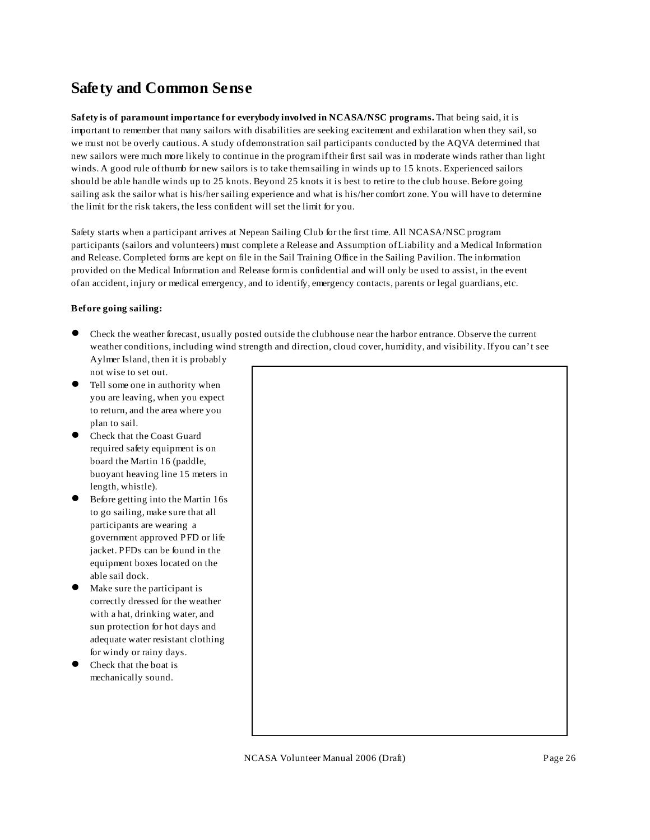### **Safety and Common Sense**

**Safety is of paramount importance for everybody involved in NCASA/NSC programs.** That being said, it is important to remember that many sailors with disabilities are seeking excitement and exhilaration when they sail, so we must not be overly cautious. A study of demonstration sail participants conducted by the AQVA determined that new sailors were much more likely to continue in the program if their first sail was in moderate winds rather than light winds. A good rule of thumb for new sailors is to take them sailing in winds up to 15 knots. Experienced sailors should be able handle winds up to 25 knots. Beyond 25 knots it is best to retire to the club house. Before going sailing ask the sailor what is his/her sailing experience and what is his/her comfort zone. You will have to determine the limit for the risk takers, the less confident will set the limit for you.

Safety starts when a participant arrives at Nepean Sailing Club for the first time. All NCASA/NSC program participants (sailors and volunteers) must complete a Release and Assumption of Liability and a Medical Information and Release. Completed forms are kept on file in the Sail Training Office in the Sailing Pavilion. The information provided on the Medical Information and Release form is confidential and will only be used to assist, in the event of an accident, injury or medical emergency, and to identify, emergency contacts, parents or legal guardians, etc.

#### **Before going sailing:**

- ! Check the weather forecast, usually posted outside the clubhouse near the harbor entrance. Observe the current weather conditions, including wind strength and direction, cloud cover, humidity, and visibility. If you can't see Aylmer Island, then it is probably
- not wise to set out. Tell some one in authority when you are leaving, when you expect to return, and the area where you plan to sail.
- ! Check that the Coast Guard required safety equipment is on board the Martin 16 (paddle, buoyant heaving line 15 meters in length, whistle).
- Before getting into the Martin 16s to go sailing, make sure that all participants are wearing a government approved PFD or life jacket. PFDs can be found in the equipment boxes located on the able sail dock.
- Make sure the participant is correctly dressed for the weather with a hat, drinking water, and sun protection for hot days and adequate water resistant clothing for windy or rainy days.
- Check that the boat is mechanically sound.

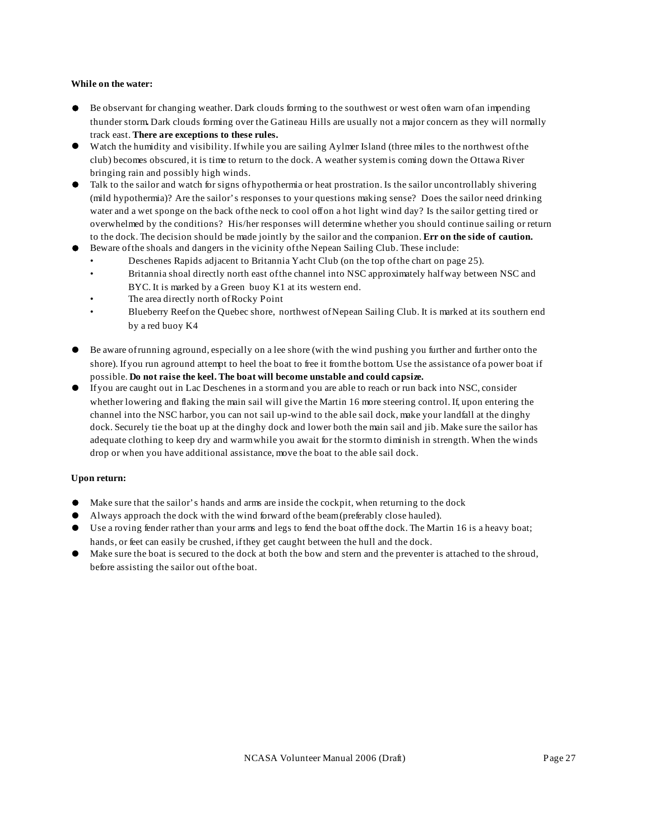#### **While on the water:**

- ! Be observant for changing weather. Dark clouds forming to the southwest or west often warn of an impending thunder storm**.** Dark clouds forming over the Gatineau Hills are usually not a major concern as they will normally track east. **There are exceptions to these rules.**
- Watch the humidity and visibility. If while you are sailing Aylmer Island (three miles to the northwest of the club) becomes obscured, it is time to return to the dock. A weather system is coming down the Ottawa River bringing rain and possibly high winds.
- ! Talk to the sailor and watch for signs of hypothermia or heat prostration. Is the sailor uncontrollably shivering (mild hypothermia)? Are the sailor's responses to your questions making sense? Does the sailor need drinking water and a wet sponge on the back of the neck to cool off on a hot light wind day? Is the sailor getting tired or overwhelmed by the conditions? His/her responses will determine whether you should continue sailing or return to the dock. The decision should be made jointly by the sailor and the companion. **Err on the side of caution.**
- ! Beware of the shoals and dangers in the vicinity of the Nepean Sailing Club. These include:
	- Deschenes Rapids adjacent to Britannia Yacht Club (on the top of the chart on page 25).
	- Britannia shoal directly north east of the channel into NSC approximately half way between NSC and BYC. It is marked by a Green buoy K1 at its western end.
	- The area directly north of Rocky Point
	- Blueberry Reef on the Quebec shore, northwest of Nepean Sailing Club. It is marked at its southern end by a red buoy K4
- Be aware of running aground, especially on a lee shore (with the wind pushing you further and further onto the shore). If you run aground attempt to heel the boat to free it from the bottom. Use the assistance of a power boat if possible. **Do not raise the keel. The boat will become unstable and could capsize.**
- ! If you are caught out in Lac Deschenes in a storm and you are able to reach or run back into NSC, consider whether lowering and flaking the main sail will give the Martin 16 more steering control. If, upon entering the channel into the NSC harbor, you can not sail up-wind to the able sail dock, make your landfall at the dinghy dock. Securely tie the boat up at the dinghy dock and lower both the main sail and jib. Make sure the sailor has adequate clothing to keep dry and warm while you await for the storm to diminish in strength. When the winds drop or when you have additional assistance, move the boat to the able sail dock.

#### **Upon return:**

- ! Make sure that the sailor's hands and arms are inside the cockpit, when returning to the dock
- ! Always approach the dock with the wind forward of the beam (preferably close hauled).
- Use a roving fender rather than your arms and legs to fend the boat off the dock. The Martin 16 is a heavy boat; hands, or feet can easily be crushed, if they get caught between the hull and the dock.
- ! Make sure the boat is secured to the dock at both the bow and stern and the preventer is attached to the shroud, before assisting the sailor out of the boat.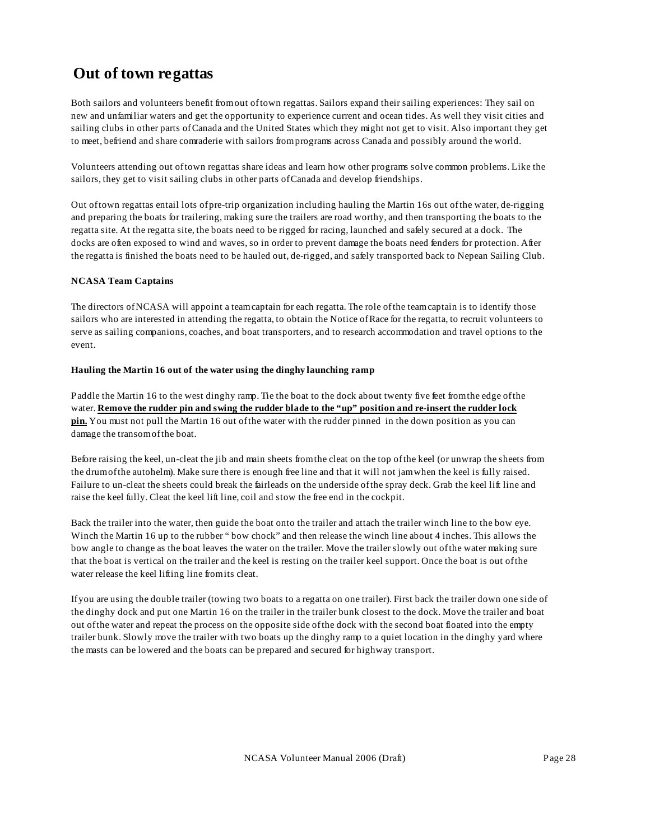# **Out of town regattas**

Both sailors and volunteers benefit from out of town regattas. Sailors expand their sailing experiences: They sail on new and unfamiliar waters and get the opportunity to experience current and ocean tides. As well they visit cities and sailing clubs in other parts of Canada and the United States which they might not get to visit. Also important they get to meet, befriend and share comraderie with sailors from programs across Canada and possibly around the world.

Volunteers attending out of town regattas share ideas and learn how other programs solve common problems. Like the sailors, they get to visit sailing clubs in other parts of Canada and develop friendships.

Out of town regattas entail lots of pre-trip organization including hauling the Martin 16s out of the water, de-rigging and preparing the boats for trailering, making sure the trailers are road worthy, and then transporting the boats to the regatta site. At the regatta site, the boats need to be rigged for racing, launched and safely secured at a dock. The docks are often exposed to wind and waves, so in order to prevent damage the boats need fenders for protection. After the regatta is finished the boats need to be hauled out, de-rigged, and safely transported back to Nepean Sailing Club.

#### **NCASA Team Captains**

The directors of NCASA will appoint a team captain for each regatta. The role of the team captain is to identify those sailors who are interested in attending the regatta, to obtain the Notice of Race for the regatta, to recruit volunteers to serve as sailing companions, coaches, and boat transporters, and to research accommodation and travel options to the event.

#### **Hauling the Martin 16 out of the water using the dinghy launching ramp**

Paddle the Martin 16 to the west dinghy ramp. Tie the boat to the dock about twenty five feet from the edge of the water. **Remove the rudder pin and swing the rudder blade to the "up" position and re-insert the rudder lock pin.** You must not pull the Martin 16 out of the water with the rudder pinned in the down position as you can damage the transom of the boat.

Before raising the keel, un-cleat the jib and main sheets from the cleat on the top of the keel (or unwrap the sheets from the drum of the autohelm). Make sure there is enough free line and that it will not jam when the keel is fully raised. Failure to un-cleat the sheets could break the fairleads on the underside of the spray deck. Grab the keel lift line and raise the keel fully. Cleat the keel lift line, coil and stow the free end in the cockpit.

Back the trailer into the water, then guide the boat onto the trailer and attach the trailer winch line to the bow eye. Winch the Martin 16 up to the rubber " bow chock" and then release the winch line about 4 inches. This allows the bow angle to change as the boat leaves the water on the trailer. Move the trailer slowly out of the water making sure that the boat is vertical on the trailer and the keel is resting on the trailer keel support. Once the boat is out of the water release the keel lifting line from its cleat.

If you are using the double trailer (towing two boats to a regatta on one trailer). First back the trailer down one side of the dinghy dock and put one Martin 16 on the trailer in the trailer bunk closest to the dock. Move the trailer and boat out of the water and repeat the process on the opposite side of the dock with the second boat floated into the empty trailer bunk. Slowly move the trailer with two boats up the dinghy ramp to a quiet location in the dinghy yard where the masts can be lowered and the boats can be prepared and secured for highway transport.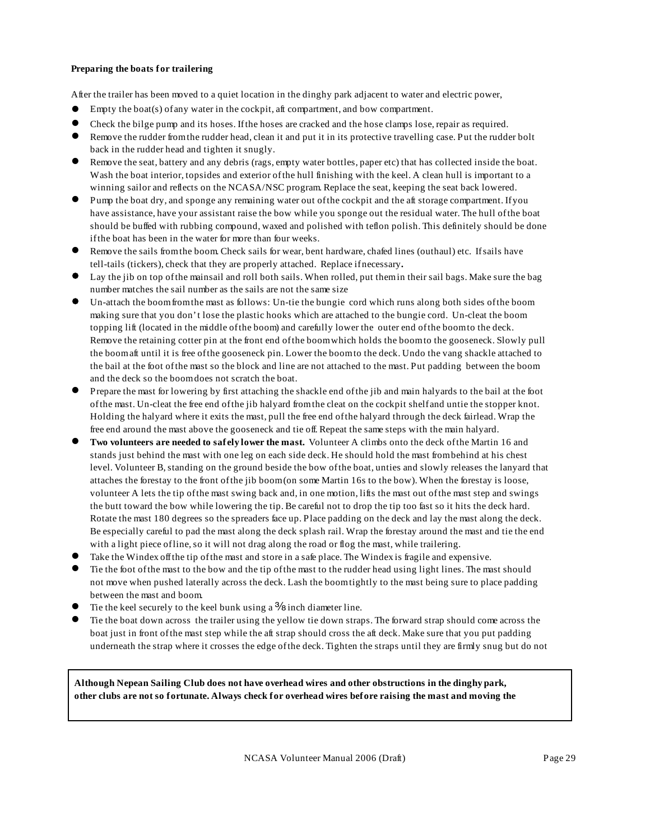#### **Preparing the boats for trailering**

After the trailer has been moved to a quiet location in the dinghy park adjacent to water and electric power,

- Empty the boat(s) of any water in the cockpit, aft compartment, and bow compartment.
- ! Check the bilge pump and its hoses. If the hoses are cracked and the hose clamps lose, repair as required.
- Remove the rudder from the rudder head, clean it and put it in its protective travelling case. Put the rudder bolt back in the rudder head and tighten it snugly.
- Remove the seat, battery and any debris (rags, empty water bottles, paper etc) that has collected inside the boat. Wash the boat interior, topsides and exterior of the hull finishing with the keel. A clean hull is important to a winning sailor and reflects on the NCASA/NSC program. Replace the seat, keeping the seat back lowered.
- ! Pump the boat dry, and sponge any remaining water out of the cockpit and the aft storage compartment. If you have assistance, have your assistant raise the bow while you sponge out the residual water. The hull of the boat should be buffed with rubbing compound, waxed and polished with teflon polish. This definitely should be done if the boat has been in the water for more than four weeks.
- Remove the sails from the boom. Check sails for wear, bent hardware, chafed lines (outhaul) etc. If sails have tell-tails (tickers), check that they are properly attached. Replace ifnecessary**.**
- Lay the jib on top of the mainsail and roll both sails. When rolled, put them in their sail bags. Make sure the bag number matches the sail number as the sails are not the same size
- ! Un-attach the boom from the mast as follows: Un-tie the bungie cord which runs along both sides of the boom making sure that you don't lose the plastic hooks which are attached to the bungie cord. Un-cleat the boom topping lift (located in the middle of the boom) and carefully lower the outer end of the boom to the deck. Remove the retaining cotter pin at the front end of the boom which holds the boom to the gooseneck. Slowly pull the boom aft until it is free of the gooseneck pin. Lower the boom to the deck. Undo the vang shackle attached to the bail at the foot of the mast so the block and line are not attached to the mast. Put padding between the boom and the deck so the boom does not scratch the boat.
- ! Prepare the mast for lowering by first attaching the shackle end of the jib and main halyards to the bail at the foot of the mast. Un-cleat the free end of the jib halyard from the cleat on the cockpit shelf and untie the stopper knot. Holding the halyard where it exits the mast, pull the free end of the halyard through the deck fairlead. Wrap the free end around the mast above the gooseneck and tie off. Repeat the same steps with the main halyard.
- ! **Two volunteers are needed to safely lower the mast.** Volunteer A climbs onto the deck of the Martin 16 and stands just behind the mast with one leg on each side deck. He should hold the mast from behind at his chest level. Volunteer B, standing on the ground beside the bow of the boat, unties and slowly releases the lanyard that attaches the forestay to the front of the jib boom (on some Martin 16s to the bow). When the forestay is loose, volunteer A lets the tip of the mast swing back and, in one motion, lifts the mast out of the mast step and swings the butt toward the bow while lowering the tip. Be careful not to drop the tip too fast so it hits the deck hard. Rotate the mast 180 degrees so the spreaders face up. Place padding on the deck and lay the mast along the deck. Be especially careful to pad the mast along the deck splash rail. Wrap the forestay around the mast and tie the end with a light piece of line, so it will not drag along the road or flog the mast, while trailering.
- Take the Windex off the tip of the mast and store in a safe place. The Windex is fragile and expensive.
- ! Tie the foot of the mast to the bow and the tip of the mast to the rudder head using light lines. The mast should not move when pushed laterally across the deck. Lash the boom tightly to the mast being sure to place padding between the mast and boom.
- The the keel securely to the keel bunk using a  $\frac{3}{8}$  inch diameter line.
- ! Tie the boat down across the trailer using the yellow tie down straps. The forward strap should come across the boat just in front of the mast step while the aft strap should cross the aft deck. Make sure that you put padding underneath the strap where it crosses the edge of the deck. Tighten the straps until they are firmly snug but do not

**Although Nepean Sailing Club does not have overhead wires and other obstructions in the dinghy park, other clubs are not so fortunate. Always check for overhead wires before raising the mast and moving the**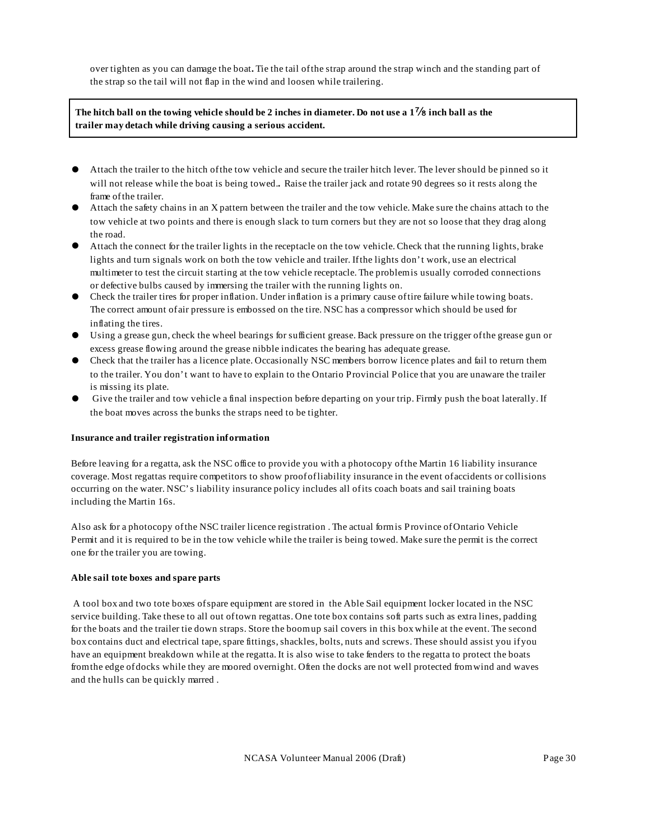over tighten as you can damage the boat**.** Tie the tail of the strap around the strap winch and the standing part of the strap so the tail will not flap in the wind and loosen while trailering.

#### **The hitch ball on the towing vehicle should be 2 inches in diameter. Do not use a 1**f **inch ball as the trailer may detach while driving causing a serious accident.**

- ! Attach the trailer to the hitch of the tow vehicle and secure the trailer hitch lever. The lever should be pinned so it will not release while the boat is being towed.**.** Raise the trailer jack and rotate 90 degrees so it rests along the frame of the trailer.
- ! Attach the safety chains in an X pattern between the trailer and the tow vehicle. Make sure the chains attach to the tow vehicle at two points and there is enough slack to turn corners but they are not so loose that they drag along the road.
- ! Attach the connect for the trailer lights in the receptacle on the tow vehicle. Check that the running lights, brake lights and turn signals work on both the tow vehicle and trailer. If the lights don't work, use an electrical multimeter to test the circuit starting at the tow vehicle receptacle. The problem is usually corroded connections or defective bulbs caused by immersing the trailer with the running lights on.
- ! Check the trailer tires for proper inflation. Under inflation is a primary cause of tire failure while towing boats. The correct amount of air pressure is embossed on the tire. NSC has a compressor which should be used for inflating the tires.
- ! Using a grease gun, check the wheel bearings for sufficient grease. Back pressure on the trigger of the grease gun or excess grease flowing around the grease nibble indicates the bearing has adequate grease.
- ! Check that the trailer has a licence plate. Occasionally NSC members borrow licence plates and fail to return them to the trailer. You don't want to have to explain to the Ontario Provincial Police that you are unaware the trailer is missing its plate.
- Give the trailer and tow vehicle a final inspection before departing on your trip. Firmly push the boat laterally. If the boat moves across the bunks the straps need to be tighter.

#### **Insurance and trailer registration information**

Before leaving for a regatta, ask the NSC office to provide you with a photocopy of the Martin 16 liability insurance coverage. Most regattas require competitors to show proof of liability insurance in the event of accidents or collisions occurring on the water. NSC's liability insurance policy includes all of its coach boats and sail training boats including the Martin 16s.

Also ask for a photocopy of the NSC trailer licence registration . The actual form is Province of Ontario Vehicle Permit and it is required to be in the tow vehicle while the trailer is being towed. Make sure the permit is the correct one for the trailer you are towing.

#### **Able sail tote boxes and spare parts**

 A tool box and two tote boxes of spare equipment are stored in the Able Sail equipment locker located in the NSC service building. Take these to all out of town regattas. One tote box contains soft parts such as extra lines, padding for the boats and the trailer tie down straps. Store the boom up sail covers in this box while at the event. The second box contains duct and electrical tape, spare fittings, shackles, bolts, nuts and screws. These should assist you if you have an equipment breakdown while at the regatta. It is also wise to take fenders to the regatta to protect the boats from the edge of docks while they are moored overnight. Often the docks are not well protected from wind and waves and the hulls can be quickly marred .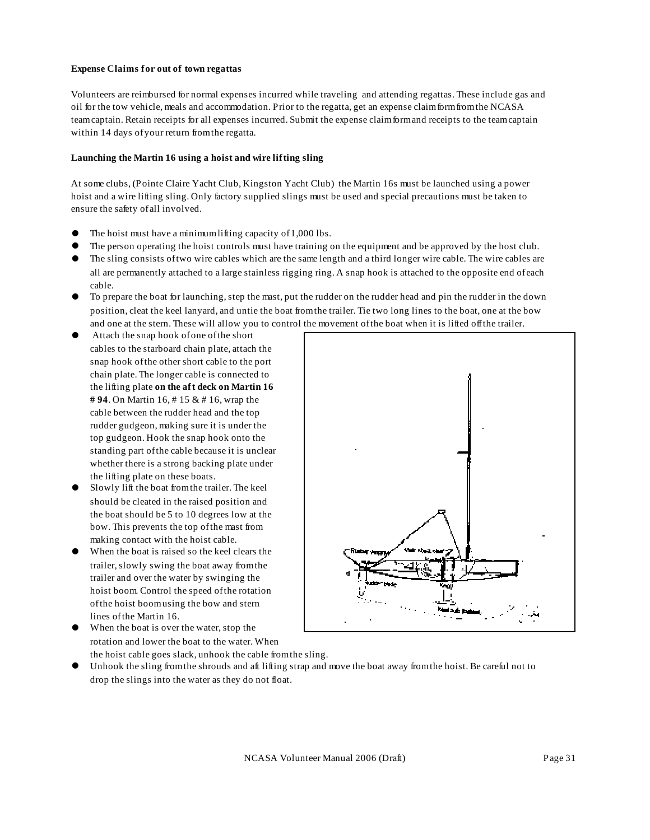#### **Expense Claims for out of town regattas**

Volunteers are reimbursed for normal expenses incurred while traveling and attending regattas. These include gas and oil for the tow vehicle, meals and accommodation. Prior to the regatta, get an expense claim form from the NCASA team captain. Retain receipts for all expenses incurred. Submit the expense claim form and receipts to the team captain within 14 days of your return from the regatta.

#### **Launching the Martin 16 using a hoist and wire lifting sling**

At some clubs, (Pointe Claire Yacht Club, Kingston Yacht Club) the Martin 16s must be launched using a power hoist and a wire lifting sling. Only factory supplied slings must be used and special precautions must be taken to ensure the safety of all involved.

- The hoist must have a minimum lifting capacity of 1,000 lbs.
- ! The person operating the hoist controls must have training on the equipment and be approved by the host club.
- ! The sling consists of two wire cables which are the same length and a third longer wire cable. The wire cables are all are permanently attached to a large stainless rigging ring. A snap hook is attached to the opposite end of each cable.
- ! To prepare the boat for launching, step the mast, put the rudder on the rudder head and pin the rudder in the down position, cleat the keel lanyard, and untie the boat from the trailer. Tie two long lines to the boat, one at the bow and one at the stern. These will allow you to control the movement of the boat when it is lifted off the trailer.
- ! Attach the snap hook of one of the short cables to the starboard chain plate, attach the snap hook of the other short cable to the port chain plate. The longer cable is connected to the lifting plate **on the aft deck on Martin 16 # 94**. On Martin 16, # 15 & # 16, wrap the cable between the rudder head and the top rudder gudgeon, making sure it is under the top gudgeon. Hook the snap hook onto the standing part of the cable because it is unclear whether there is a strong backing plate under the lifting plate on these boats.
- Slowly lift the boat from the trailer. The keel should be cleated in the raised position and the boat should be 5 to 10 degrees low at the bow. This prevents the top of the mast from making contact with the hoist cable.
- When the boat is raised so the keel clears the trailer, slowly swing the boat away from the trailer and over the water by swinging the hoist boom. Control the speed of the rotation of the hoist boom using the bow and stern lines of the Martin 16.
- 
- When the boat is over the water, stop the rotation and lower the boat to the water. When
	- the hoist cable goes slack, unhook the cable from the sling.
- ! Unhook the sling from the shrouds and aft lifting strap and move the boat away from the hoist. Be careful not to drop the slings into the water as they do not float.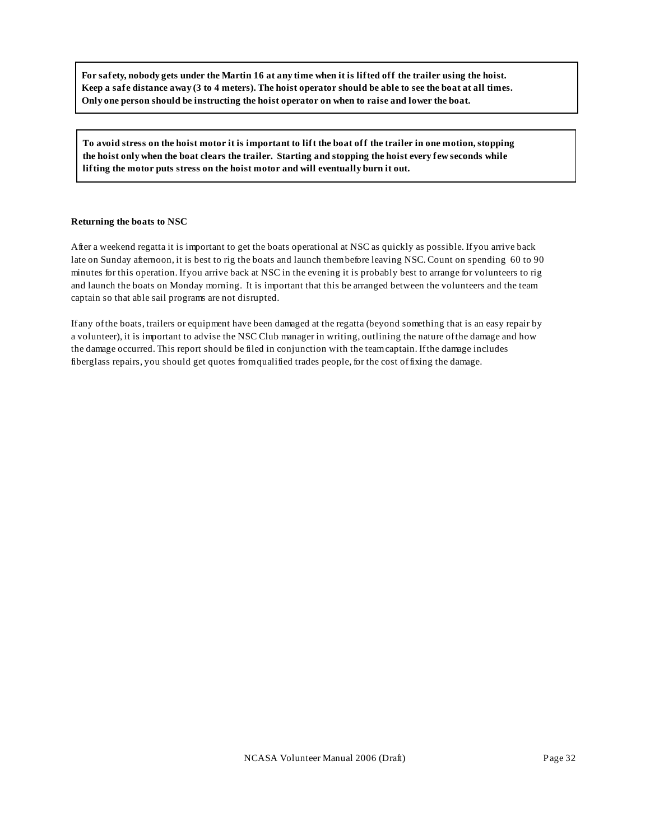**For safety, nobody gets under the Martin 16 at any time when it is lifted off the trailer using the hoist. Keep a safe distance away (3 to 4 meters). The hoist operator should be able to see the boat at all times. Only one person should be instructing the hoist operator on when to raise and lower the boat.**

**To avoid stress on the hoist motor it is important to lift the boat off the trailer in one motion, stopping the hoist only when the boat clears the trailer. Starting and stopping the hoist every few seconds while lifting the motor puts stress on the hoist motor and will eventually burn it out.**

#### **Returning the boats to NSC**

After a weekend regatta it is important to get the boats operational at NSC as quickly as possible. If you arrive back late on Sunday afternoon, it is best to rig the boats and launch them before leaving NSC. Count on spending 60 to 90 minutes for this operation. If you arrive back at NSC in the evening it is probably best to arrange for volunteers to rig and launch the boats on Monday morning. It is important that this be arranged between the volunteers and the team captain so that able sail programs are not disrupted.

If any of the boats, trailers or equipment have been damaged at the regatta (beyond something that is an easy repair by a volunteer), it is important to advise the NSC Club manager in writing, outlining the nature of the damage and how the damage occurred. This report should be filed in conjunction with the team captain. If the damage includes fiberglass repairs, you should get quotes from qualified trades people, for the cost of fixing the damage.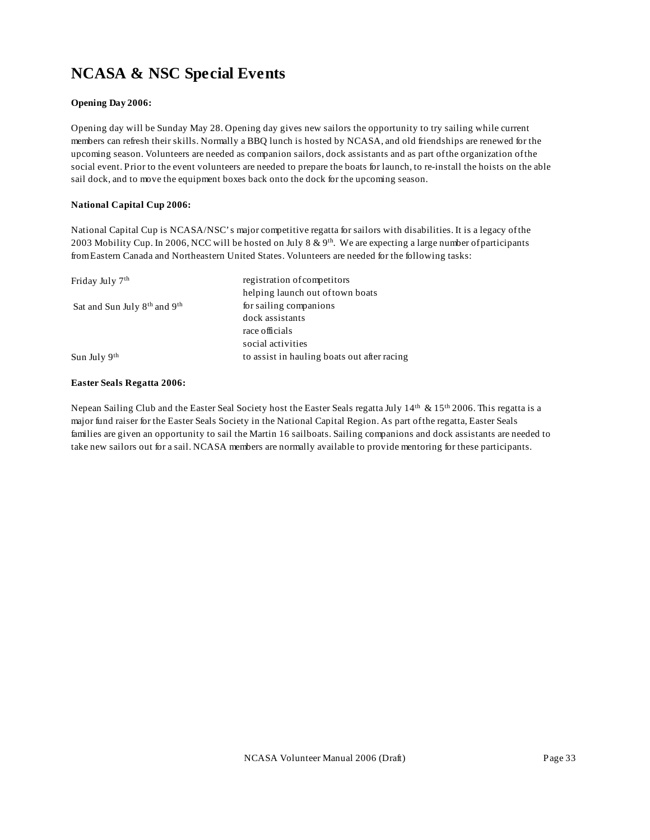# **NCASA & NSC Special Events**

#### **Opening Day 2006:**

Opening day will be Sunday May 28. Opening day gives new sailors the opportunity to try sailing while current members can refresh their skills. Normally a BBQ lunch is hosted by NCASA, and old friendships are renewed for the upcoming season. Volunteers are needed as companion sailors, dock assistants and as part of the organization of the social event. Prior to the event volunteers are needed to prepare the boats for launch, to re-install the hoists on the able sail dock, and to move the equipment boxes back onto the dock for the upcoming season.

#### **National Capital Cup 2006:**

National Capital Cup is NCASA/NSC's major competitive regatta for sailors with disabilities. It is a legacy of the 2003 Mobility Cup. In 2006, NCC will be hosted on July 8 & 9<sup>th</sup>. We are expecting a large number of participants from Eastern Canada and Northeastern United States. Volunteers are needed for the following tasks:

| Friday July 7 <sup>th</sup>                          | registration of competitors                 |
|------------------------------------------------------|---------------------------------------------|
|                                                      | helping launch out of town boats            |
| Sat and Sun July 8 <sup>th</sup> and 9 <sup>th</sup> | for sailing companions                      |
|                                                      | dock assistants                             |
|                                                      | race officials                              |
|                                                      | social activities                           |
| Sun July $9th$                                       | to assist in hauling boats out after racing |

#### **Easter Seals Regatta 2006:**

Nepean Sailing Club and the Easter Seal Society host the Easter Seals regatta July  $14<sup>th</sup> \& 15<sup>th</sup> 2006$ . This regatta is a major fund raiser for the Easter Seals Society in the National Capital Region. As part of the regatta, Easter Seals families are given an opportunity to sail the Martin 16 sailboats. Sailing companions and dock assistants are needed to take new sailors out for a sail. NCASA members are normally available to provide mentoring for these participants.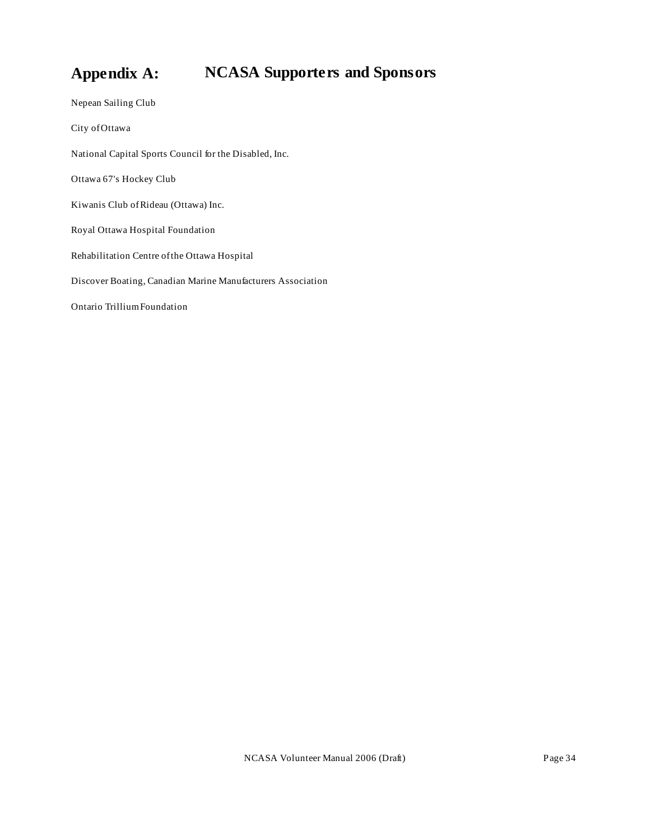# **Appendix A: NCASA Supporters and Sponsors**

Nepean Sailing Club City of Ottawa National Capital Sports Council for the Disabled, Inc. Ottawa 67's Hockey Club Kiwanis Club of Rideau (Ottawa) Inc. Royal Ottawa Hospital Foundation Rehabilitation Centre of the Ottawa Hospital Discover Boating, Canadian Marine Manufacturers Association Ontario Trillium Foundation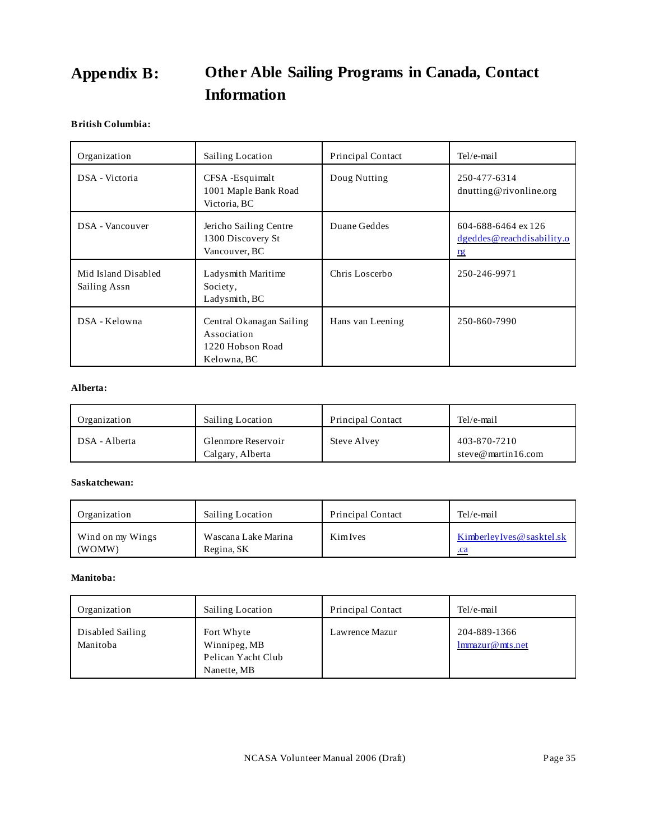# **Appendix B: Other Able Sailing Programs in Canada, Contact Information**

#### **British Columbia:**

| Organization                        | <b>Sailing Location</b>                                                    | <b>Principal Contact</b> | Tel/e-mail                                                           |
|-------------------------------------|----------------------------------------------------------------------------|--------------------------|----------------------------------------------------------------------|
| DSA - Victoria                      | CFSA-Esquimalt<br>1001 Maple Bank Road<br>Victoria, BC                     | Doug Nutting             | 250-477-6314<br>dnutting@rivonline.org                               |
| DSA - Vancouver                     | Jericho Sailing Centre<br>1300 Discovery St<br>Vancouver, BC               | Duane Geddes             | 604-688-6464 ex 126<br>$d$ geddes $@$ reachdisability.o<br><u>rg</u> |
| Mid Island Disabled<br>Sailing Assn | Ladysmith Maritime<br>Society,<br>Ladysmith, BC                            | Chris Loscerbo           | 250-246-9971                                                         |
| DSA - Kelowna                       | Central Okanagan Sailing<br>Association<br>1220 Hobson Road<br>Kelowna, BC | Hans van Leening         | 250-860-7990                                                         |

#### **Alberta:**

| Organization  | <b>Sailing Location</b>                | <b>Principal Contact</b> | Tel/e-mail                         |
|---------------|----------------------------------------|--------------------------|------------------------------------|
| DSA - Alberta | Glenmore Reservoir<br>Calgary, Alberta | <b>Steve Alvey</b>       | 403-870-7210<br>steve@martin16.com |

#### **Saskatchewan:**

| Organization     | <b>Sailing Location</b> | <b>Principal Contact</b> | Tel/e-mail                  |
|------------------|-------------------------|--------------------------|-----------------------------|
| Wind on my Wings | Wascana Lake Marina     | KimIves                  | Kimberley Ives @ sasktel.sk |
| (WOMW)           | Regina, SK              |                          | .ca                         |

#### **Manitoba:**

| Organization                 | Sailing Location                                                | <b>Principal Contact</b> | Tel/e-mail                      |
|------------------------------|-----------------------------------------------------------------|--------------------------|---------------------------------|
| Disabled Sailing<br>Manitoba | Fort Whyte<br>Winnipeg, MB<br>Pelican Yacht Club<br>Nanette, MB | Lawrence Mazur           | 204-889-1366<br>lmmazur@mts.net |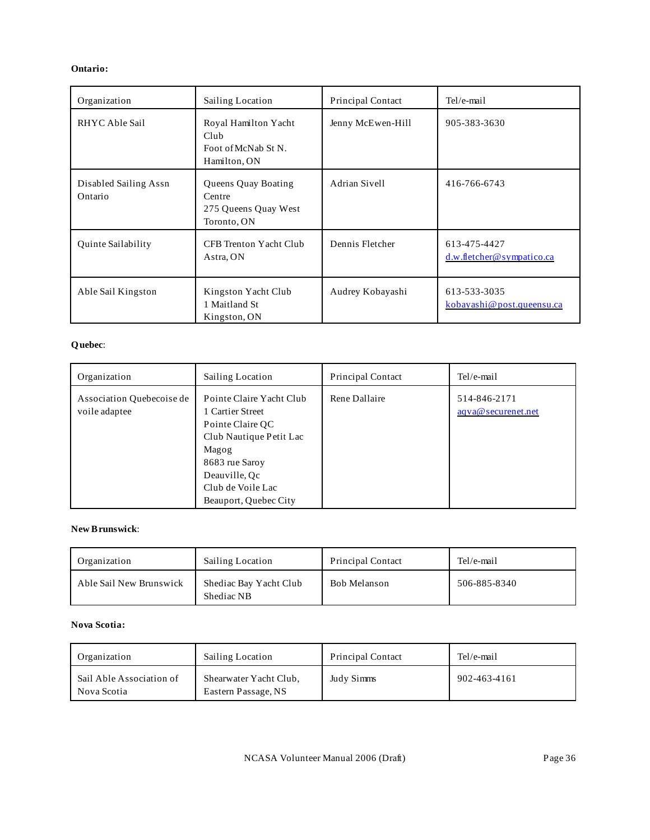#### **Ontario:**

| Organization                     | Sailing Location                                                     | <b>Principal Contact</b> | Tel/e-mail                                |
|----------------------------------|----------------------------------------------------------------------|--------------------------|-------------------------------------------|
| RHYC Able Sail                   | Royal Hamilton Yacht<br>Club<br>Foot of McNab St N.<br>Hamilton, ON  | Jenny McEwen-Hill        | 905-383-3630                              |
| Disabled Sailing Assn<br>Ontario | Queens Quay Boating<br>Centre<br>275 Queens Quay West<br>Toronto, ON | Adrian Sivell            | 416-766-6743                              |
| Quinte Sailability               | CFB Trenton Yacht Club<br>Astra, ON                                  | Dennis Fletcher          | 613-475-4427<br>d.w.fletcher@sympatico.ca |
| Able Sail Kingston               | Kingston Yacht Club<br>1 Maitland St<br>Kingston, ON                 | Audrey Kobayashi         | 613-533-3035<br>kobayashi@post.queensu.ca |

#### **Quebec**:

| Organization                               | Sailing Location                                                                                                                                                                      | <b>Principal Contact</b> | Tel/e-mail                         |
|--------------------------------------------|---------------------------------------------------------------------------------------------------------------------------------------------------------------------------------------|--------------------------|------------------------------------|
| Association Quebecoise de<br>voile adaptee | Pointe Claire Yacht Club<br>1 Cartier Street<br>Pointe Claire QC<br>Club Nautique Petit Lac<br>Magog<br>8683 rue Saroy<br>Deauville, Qc<br>Club de Voile Lac<br>Beauport, Quebec City | Rene Dallaire            | 514-846-2171<br>aqva@securenet.net |

#### **New Brunswick**:

| Organization            | <b>Sailing Location</b>              | <b>Principal Contact</b> | Tel/e-mail   |
|-------------------------|--------------------------------------|--------------------------|--------------|
| Able Sail New Brunswick | Shediac Bay Yacht Club<br>Shediac NB | Bob Melanson             | 506-885-8340 |

#### **Nova Scotia:**

| Organization                            | Sailing Location                              | <b>Principal Contact</b> | Tel/e-mail   |
|-----------------------------------------|-----------------------------------------------|--------------------------|--------------|
| Sail Able Association of<br>Nova Scotia | Shearwater Yacht Club,<br>Eastern Passage, NS | Judy Simms               | 902-463-4161 |